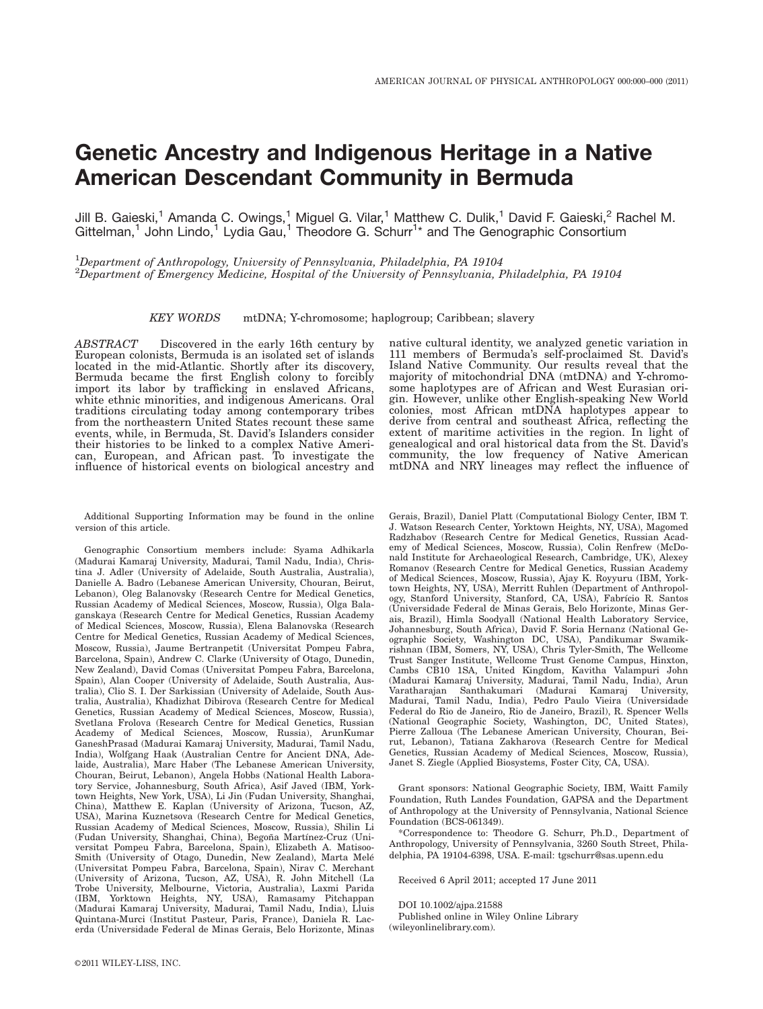# Genetic Ancestry and Indigenous Heritage in a Native American Descendant Community in Bermuda

Jill B. Gaieski,<sup>1</sup> Amanda C. Owings,<sup>1</sup> Miguel G. Vilar,<sup>1</sup> Matthew C. Dulik,<sup>1</sup> David F. Gaieski,<sup>2</sup> Rachel M. Gittelman,<sup>1</sup> John Lindo,<sup>1</sup> Lydia Gau,<sup>1</sup> Theodore G. Schurr<sup>1</sup>\* and The Genographic Consortium

<sup>1</sup>Department of Anthropology, University of Pennsylvania, Philadelphia, PA 19104<br><sup>2</sup>Department of Emergency Medicine, Hospital of the University of Pennsylvania, Philadelphia, PA 19104

KEY WORDS mtDNA; Y-chromosome; haplogroup; Caribbean; slavery

ABSTRACT Discovered in the early 16th century by European colonists, Bermuda is an isolated set of islands located in the mid-Atlantic. Shortly after its discovery, Bermuda became the first English colony to forcibly import its labor by trafficking in enslaved Africans, white ethnic minorities, and indigenous Americans. Oral traditions circulating today among contemporary tribes from the northeastern United States recount these same events, while, in Bermuda, St. David's Islanders consider their histories to be linked to a complex Native American, European, and African past. To investigate the influence of historical events on biological ancestry and

Additional Supporting Information may be found in the online version of this article.

Genographic Consortium members include: Syama Adhikarla (Madurai Kamaraj University, Madurai, Tamil Nadu, India), Christina J. Adler (University of Adelaide, South Australia, Australia), Danielle A. Badro (Lebanese American University, Chouran, Beirut, Lebanon), Oleg Balanovsky (Research Centre for Medical Genetics, Russian Academy of Medical Sciences, Moscow, Russia), Olga Balaganskaya (Research Centre for Medical Genetics, Russian Academy of Medical Sciences, Moscow, Russia), Elena Balanovska (Research Centre for Medical Genetics, Russian Academy of Medical Sciences, Moscow, Russia), Jaume Bertranpetit (Universitat Pompeu Fabra, Barcelona, Spain), Andrew C. Clarke (University of Otago, Dunedin, New Zealand), David Comas (Universitat Pompeu Fabra, Barcelona, Spain), Alan Cooper (University of Adelaide, South Australia, Australia), Clio S. I. Der Sarkissian (University of Adelaide, South Australia, Australia), Khadizhat Dibirova (Research Centre for Medical Genetics, Russian Academy of Medical Sciences, Moscow, Russia), Svetlana Frolova (Research Centre for Medical Genetics, Russian Academy of Medical Sciences, Moscow, Russia), ArunKumar GaneshPrasad (Madurai Kamaraj University, Madurai, Tamil Nadu, India), Wolfgang Haak (Australian Centre for Ancient DNA, Adelaide, Australia), Marc Haber (The Lebanese American University, Chouran, Beirut, Lebanon), Angela Hobbs (National Health Laboratory Service, Johannesburg, South Africa), Asif Javed (IBM, Yorktown Heights, New York, USA), Li Jin (Fudan University, Shanghai, China), Matthew E. Kaplan (University of Arizona, Tucson, AZ, USA), Marina Kuznetsova (Research Centre for Medical Genetics, Russian Academy of Medical Sciences, Moscow, Russia), Shilin Li (Fudan University, Shanghai, China), Begoña Martínez-Cruz (Universitat Pompeu Fabra, Barcelona, Spain), Elizabeth A. Matisoo-Smith (University of Otago, Dunedin, New Zealand), Marta Mele´ (Universitat Pompeu Fabra, Barcelona, Spain), Nirav C. Merchant (University of Arizona, Tucson, AZ, USA), R. John Mitchell (La Trobe University, Melbourne, Victoria, Australia), Laxmi Parida (IBM, Yorktown Heights, NY, USA), Ramasamy Pitchappan (Madurai Kamaraj University, Madurai, Tamil Nadu, India), Lluis Quintana-Murci (Institut Pasteur, Paris, France), Daniela R. Lacerda (Universidade Federal de Minas Gerais, Belo Horizonte, Minas

native cultural identity, we analyzed genetic variation in 111 members of Bermuda's self-proclaimed St. David's Island Native Community. Our results reveal that the majority of mitochondrial DNA (mtDNA) and Y-chromosome haplotypes are of African and West Eurasian origin. However, unlike other English-speaking New World colonies, most African mtDNA haplotypes appear to derive from central and southeast Africa, reflecting the extent of maritime activities in the region. In light of genealogical and oral historical data from the St. David's community, the low frequency of Native American mtDNA and NRY lineages may reflect the influence of

Gerais, Brazil), Daniel Platt (Computational Biology Center, IBM T. J. Watson Research Center, Yorktown Heights, NY, USA), Magomed Radzhabov (Research Centre for Medical Genetics, Russian Academy of Medical Sciences, Moscow, Russia), Colin Renfrew (McDonald Institute for Archaeological Research, Cambridge, UK), Alexey Romanov (Research Centre for Medical Genetics, Russian Academy of Medical Sciences, Moscow, Russia), Ajay K. Royyuru (IBM, Yorktown Heights, NY, USA), Merritt Ruhlen (Department of Anthropology, Stanford University, Stanford, CA, USA), Fabrício R. Santos (Universidade Federal de Minas Gerais, Belo Horizonte, Minas Gerais, Brazil), Himla Soodyall (National Health Laboratory Service, Johannesburg, South Africa), David F. Soria Hernanz (National Geographic Society, Washington DC, USA), Pandikumar Swamikrishnan (IBM, Somers, NY, USA), Chris Tyler-Smith, The Wellcome Trust Sanger Institute, Wellcome Trust Genome Campus, Hinxton, Cambs CB10 1SA, United Kingdom, Kavitha Valampuri John (Madurai Kamaraj University, Madurai, Tamil Nadu, India), Arun Varatharajan Santhakumari (Madurai Kamaraj University, Madurai, Tamil Nadu, India), Pedro Paulo Vieira (Universidade Federal do Rio de Janeiro, Rio de Janeiro, Brazil), R. Spencer Wells (National Geographic Society, Washington, DC, United States), Pierre Zalloua (The Lebanese American University, Chouran, Beirut, Lebanon), Tatiana Zakharova (Research Centre for Medical Genetics, Russian Academy of Medical Sciences, Moscow, Russia), Janet S. Ziegle (Applied Biosystems, Foster City, CA, USA).

Grant sponsors: National Geographic Society, IBM, Waitt Family Foundation, Ruth Landes Foundation, GAPSA and the Department of Anthropology at the University of Pennsylvania, National Science Foundation (BCS-061349).

\*Correspondence to: Theodore G. Schurr, Ph.D., Department of Anthropology, University of Pennsylvania, 3260 South Street, Philadelphia, PA 19104-6398, USA. E-mail: tgschurr@sas.upenn.edu

Received 6 April 2011; accepted 17 June 2011

DOI 10.1002/ajpa.21588

Published online in Wiley Online Library (wileyonlinelibrary.com).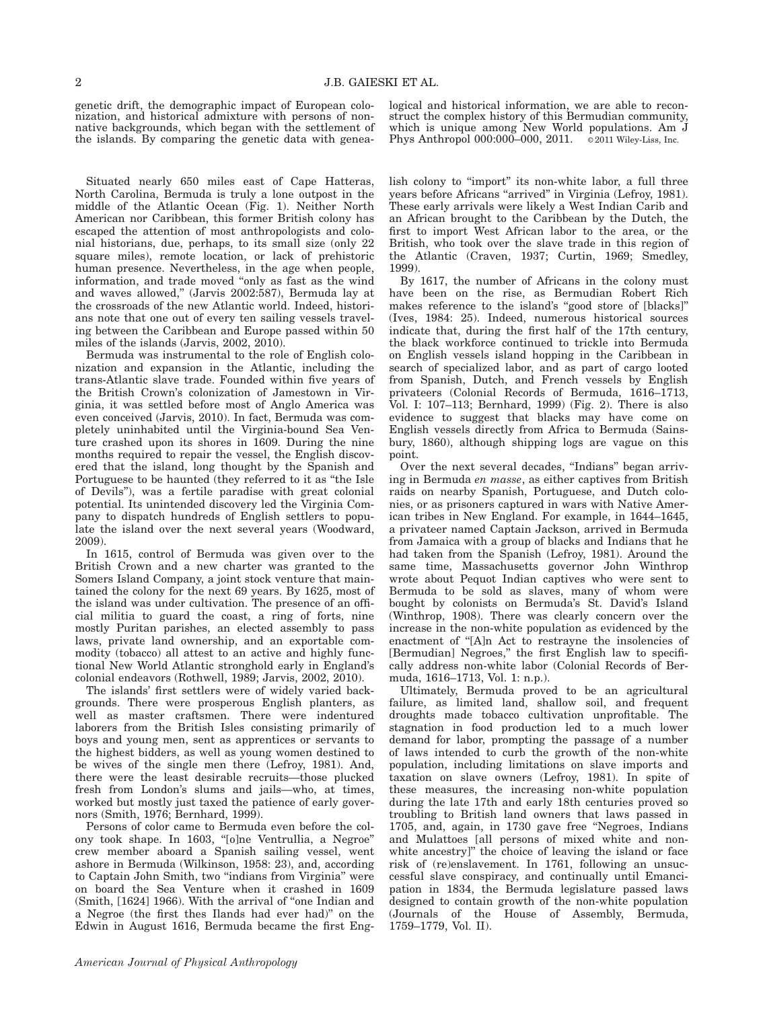genetic drift, the demographic impact of European colonization, and historical admixture with persons of nonnative backgrounds, which began with the settlement of the islands. By comparing the genetic data with genea-

Situated nearly 650 miles east of Cape Hatteras, North Carolina, Bermuda is truly a lone outpost in the middle of the Atlantic Ocean (Fig. 1). Neither North American nor Caribbean, this former British colony has escaped the attention of most anthropologists and colonial historians, due, perhaps, to its small size (only 22 square miles), remote location, or lack of prehistoric human presence. Nevertheless, in the age when people, information, and trade moved ''only as fast as the wind and waves allowed,'' (Jarvis 2002:587), Bermuda lay at the crossroads of the new Atlantic world. Indeed, historians note that one out of every ten sailing vessels traveling between the Caribbean and Europe passed within 50 miles of the islands (Jarvis, 2002, 2010).

Bermuda was instrumental to the role of English colonization and expansion in the Atlantic, including the trans-Atlantic slave trade. Founded within five years of the British Crown's colonization of Jamestown in Virginia, it was settled before most of Anglo America was even conceived (Jarvis, 2010). In fact, Bermuda was completely uninhabited until the Virginia-bound Sea Venture crashed upon its shores in 1609. During the nine months required to repair the vessel, the English discovered that the island, long thought by the Spanish and Portuguese to be haunted (they referred to it as ''the Isle of Devils''), was a fertile paradise with great colonial potential. Its unintended discovery led the Virginia Company to dispatch hundreds of English settlers to populate the island over the next several years (Woodward, 2009).

In 1615, control of Bermuda was given over to the British Crown and a new charter was granted to the Somers Island Company, a joint stock venture that maintained the colony for the next 69 years. By 1625, most of the island was under cultivation. The presence of an official militia to guard the coast, a ring of forts, nine mostly Puritan parishes, an elected assembly to pass laws, private land ownership, and an exportable commodity (tobacco) all attest to an active and highly functional New World Atlantic stronghold early in England's colonial endeavors (Rothwell, 1989; Jarvis, 2002, 2010).

The islands' first settlers were of widely varied backgrounds. There were prosperous English planters, as well as master craftsmen. There were indentured laborers from the British Isles consisting primarily of boys and young men, sent as apprentices or servants to the highest bidders, as well as young women destined to be wives of the single men there (Lefroy, 1981). And, there were the least desirable recruits—those plucked fresh from London's slums and jails—who, at times, worked but mostly just taxed the patience of early governors (Smith, 1976; Bernhard, 1999).

Persons of color came to Bermuda even before the colony took shape. In 1603, ''[o]ne Ventrullia, a Negroe'' crew member aboard a Spanish sailing vessel, went ashore in Bermuda (Wilkinson, 1958: 23), and, according to Captain John Smith, two ''indians from Virginia'' were on board the Sea Venture when it crashed in 1609 (Smith, [1624] 1966). With the arrival of ''one Indian and a Negroe (the first thes Ilands had ever had)'' on the Edwin in August 1616, Bermuda became the first Englogical and historical information, we are able to reconstruct the complex history of this Bermudian community, which is unique among New World populations. Am J Phys Anthropol  $000:000-000$ ,  $2011$ .  $\circ$  2011 Wiley-Liss, Inc.

lish colony to "import" its non-white labor, a full three years before Africans "arrived" in Virginia (Lefroy, 1981). These early arrivals were likely a West Indian Carib and an African brought to the Caribbean by the Dutch, the first to import West African labor to the area, or the British, who took over the slave trade in this region of the Atlantic (Craven, 1937; Curtin, 1969; Smedley, 1999).

By 1617, the number of Africans in the colony must have been on the rise, as Bermudian Robert Rich makes reference to the island's "good store of [blacks]" (Ives, 1984: 25). Indeed, numerous historical sources indicate that, during the first half of the 17th century, the black workforce continued to trickle into Bermuda on English vessels island hopping in the Caribbean in search of specialized labor, and as part of cargo looted from Spanish, Dutch, and French vessels by English privateers (Colonial Records of Bermuda, 1616–1713, Vol. I: 107–113; Bernhard, 1999) (Fig. 2). There is also evidence to suggest that blacks may have come on English vessels directly from Africa to Bermuda (Sainsbury, 1860), although shipping logs are vague on this point.

Over the next several decades, ''Indians'' began arriving in Bermuda en masse, as either captives from British raids on nearby Spanish, Portuguese, and Dutch colonies, or as prisoners captured in wars with Native American tribes in New England. For example, in 1644–1645, a privateer named Captain Jackson, arrived in Bermuda from Jamaica with a group of blacks and Indians that he had taken from the Spanish (Lefroy, 1981). Around the same time, Massachusetts governor John Winthrop wrote about Pequot Indian captives who were sent to Bermuda to be sold as slaves, many of whom were bought by colonists on Bermuda's St. David's Island (Winthrop, 1908). There was clearly concern over the increase in the non-white population as evidenced by the enactment of ''[A]n Act to restrayne the insolencies of [Bermudian] Negroes," the first English law to specifically address non-white labor (Colonial Records of Bermuda, 1616–1713, Vol. 1: n.p.).

Ultimately, Bermuda proved to be an agricultural failure, as limited land, shallow soil, and frequent droughts made tobacco cultivation unprofitable. The stagnation in food production led to a much lower demand for labor, prompting the passage of a number of laws intended to curb the growth of the non-white population, including limitations on slave imports and taxation on slave owners (Lefroy, 1981). In spite of these measures, the increasing non-white population during the late 17th and early 18th centuries proved so troubling to British land owners that laws passed in 1705, and, again, in 1730 gave free ''Negroes, Indians and Mulattoes [all persons of mixed white and nonwhite ancestry]'' the choice of leaving the island or face risk of (re)enslavement. In 1761, following an unsuccessful slave conspiracy, and continually until Emancipation in 1834, the Bermuda legislature passed laws designed to contain growth of the non-white population (Journals of the House of Assembly, Bermuda, 1759–1779, Vol. II).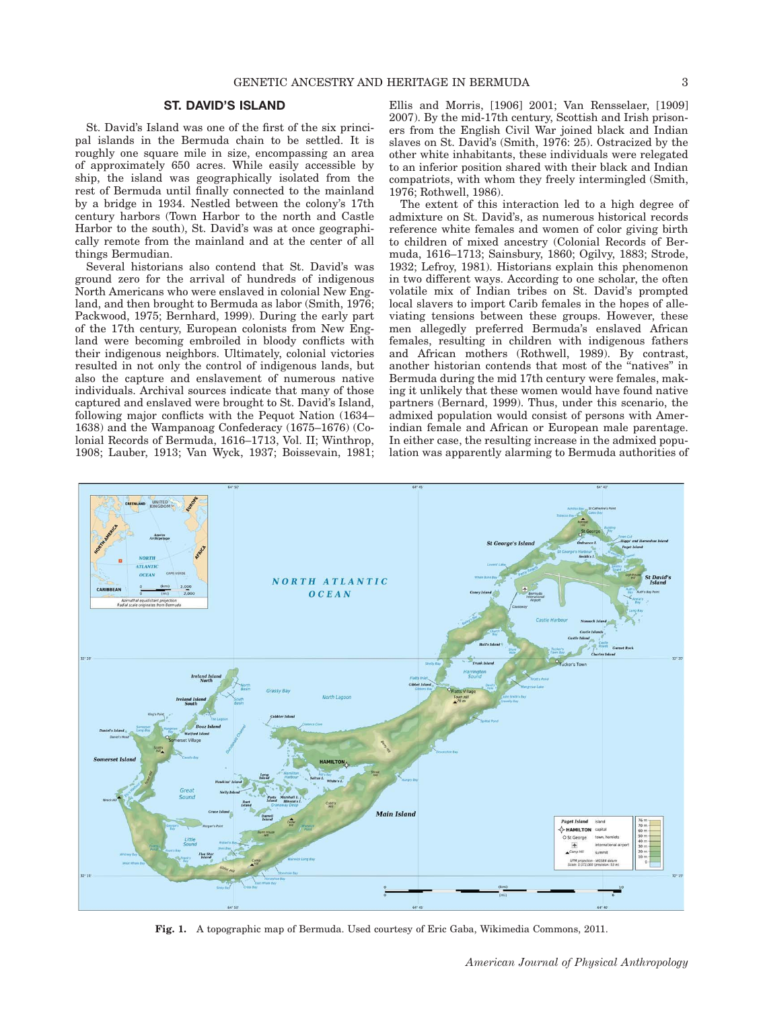# ST. DAVID'S ISLAND

St. David's Island was one of the first of the six principal islands in the Bermuda chain to be settled. It is roughly one square mile in size, encompassing an area of approximately 650 acres. While easily accessible by ship, the island was geographically isolated from the rest of Bermuda until finally connected to the mainland by a bridge in 1934. Nestled between the colony's 17th century harbors (Town Harbor to the north and Castle Harbor to the south), St. David's was at once geographically remote from the mainland and at the center of all things Bermudian.

Several historians also contend that St. David's was ground zero for the arrival of hundreds of indigenous North Americans who were enslaved in colonial New England, and then brought to Bermuda as labor (Smith, 1976; Packwood, 1975; Bernhard, 1999). During the early part of the 17th century, European colonists from New England were becoming embroiled in bloody conflicts with their indigenous neighbors. Ultimately, colonial victories resulted in not only the control of indigenous lands, but also the capture and enslavement of numerous native individuals. Archival sources indicate that many of those captured and enslaved were brought to St. David's Island, following major conflicts with the Pequot Nation (1634– 1638) and the Wampanoag Confederacy (1675–1676) (Colonial Records of Bermuda, 1616–1713, Vol. II; Winthrop, 1908; Lauber, 1913; Van Wyck, 1937; Boissevain, 1981;

Ellis and Morris, [1906] 2001; Van Rensselaer, [1909] 2007). By the mid-17th century, Scottish and Irish prisoners from the English Civil War joined black and Indian slaves on St. David's (Smith, 1976: 25). Ostracized by the other white inhabitants, these individuals were relegated to an inferior position shared with their black and Indian compatriots, with whom they freely intermingled (Smith, 1976; Rothwell, 1986).

The extent of this interaction led to a high degree of admixture on St. David's, as numerous historical records reference white females and women of color giving birth to children of mixed ancestry (Colonial Records of Bermuda, 1616–1713; Sainsbury, 1860; Ogilvy, 1883; Strode, 1932; Lefroy, 1981). Historians explain this phenomenon in two different ways. According to one scholar, the often volatile mix of Indian tribes on St. David's prompted local slavers to import Carib females in the hopes of alleviating tensions between these groups. However, these men allegedly preferred Bermuda's enslaved African females, resulting in children with indigenous fathers and African mothers (Rothwell, 1989). By contrast, another historian contends that most of the ''natives'' in Bermuda during the mid 17th century were females, making it unlikely that these women would have found native partners (Bernard, 1999). Thus, under this scenario, the admixed population would consist of persons with Amerindian female and African or European male parentage. In either case, the resulting increase in the admixed population was apparently alarming to Bermuda authorities of



Fig. 1. A topographic map of Bermuda. Used courtesy of Eric Gaba, Wikimedia Commons, 2011.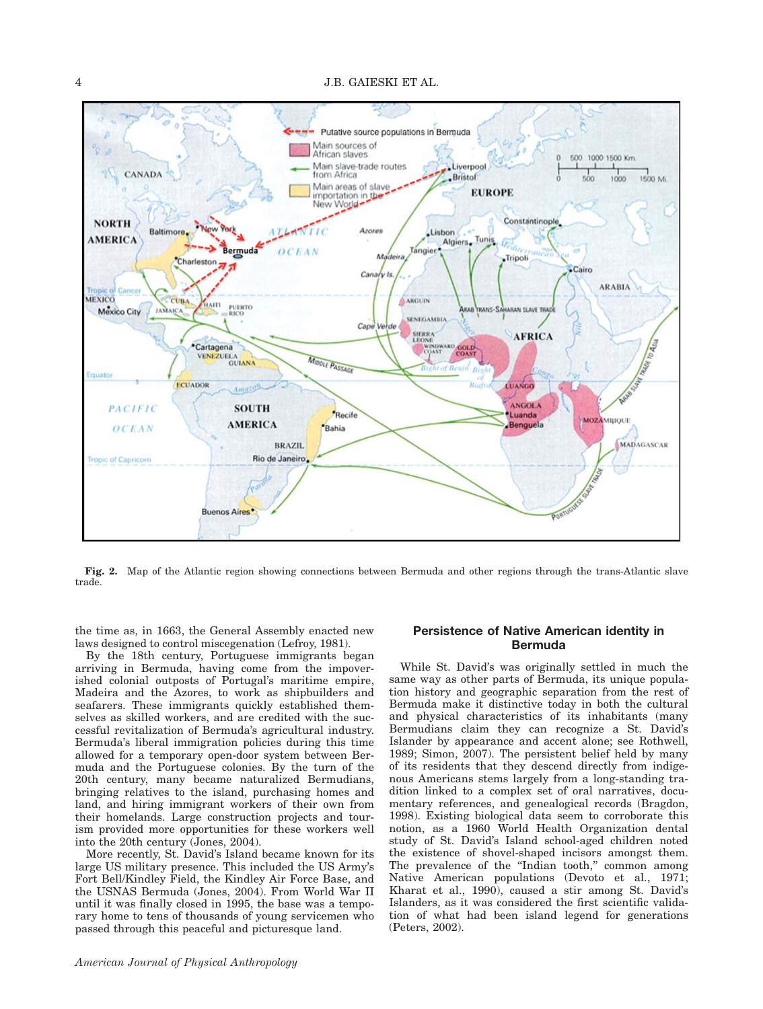

Fig. 2. Map of the Atlantic region showing connections between Bermuda and other regions through the trans-Atlantic slave trade.

the time as, in 1663, the General Assembly enacted new laws designed to control miscegenation (Lefroy, 1981).

By the 18th century, Portuguese immigrants began arriving in Bermuda, having come from the impoverished colonial outposts of Portugal's maritime empire, Madeira and the Azores, to work as shipbuilders and seafarers. These immigrants quickly established themselves as skilled workers, and are credited with the successful revitalization of Bermuda's agricultural industry. Bermuda's liberal immigration policies during this time allowed for a temporary open-door system between Bermuda and the Portuguese colonies. By the turn of the 20th century, many became naturalized Bermudians, bringing relatives to the island, purchasing homes and land, and hiring immigrant workers of their own from their homelands. Large construction projects and tourism provided more opportunities for these workers well into the 20th century (Jones, 2004).

More recently, St. David's Island became known for its large US military presence. This included the US Army's Fort Bell/Kindley Field, the Kindley Air Force Base, and the USNAS Bermuda (Jones, 2004). From World War II until it was finally closed in 1995, the base was a temporary home to tens of thousands of young servicemen who passed through this peaceful and picturesque land.

### Persistence of Native American identity in Bermuda

While St. David's was originally settled in much the same way as other parts of Bermuda, its unique population history and geographic separation from the rest of Bermuda make it distinctive today in both the cultural and physical characteristics of its inhabitants (many Bermudians claim they can recognize a St. David's Islander by appearance and accent alone; see Rothwell, 1989; Simon, 2007). The persistent belief held by many of its residents that they descend directly from indigenous Americans stems largely from a long-standing tradition linked to a complex set of oral narratives, documentary references, and genealogical records (Bragdon, 1998). Existing biological data seem to corroborate this notion, as a 1960 World Health Organization dental study of St. David's Island school-aged children noted the existence of shovel-shaped incisors amongst them. The prevalence of the "Indian tooth," common among Native American populations (Devoto et al., 1971; Kharat et al., 1990), caused a stir among St. David's Islanders, as it was considered the first scientific validation of what had been island legend for generations (Peters, 2002).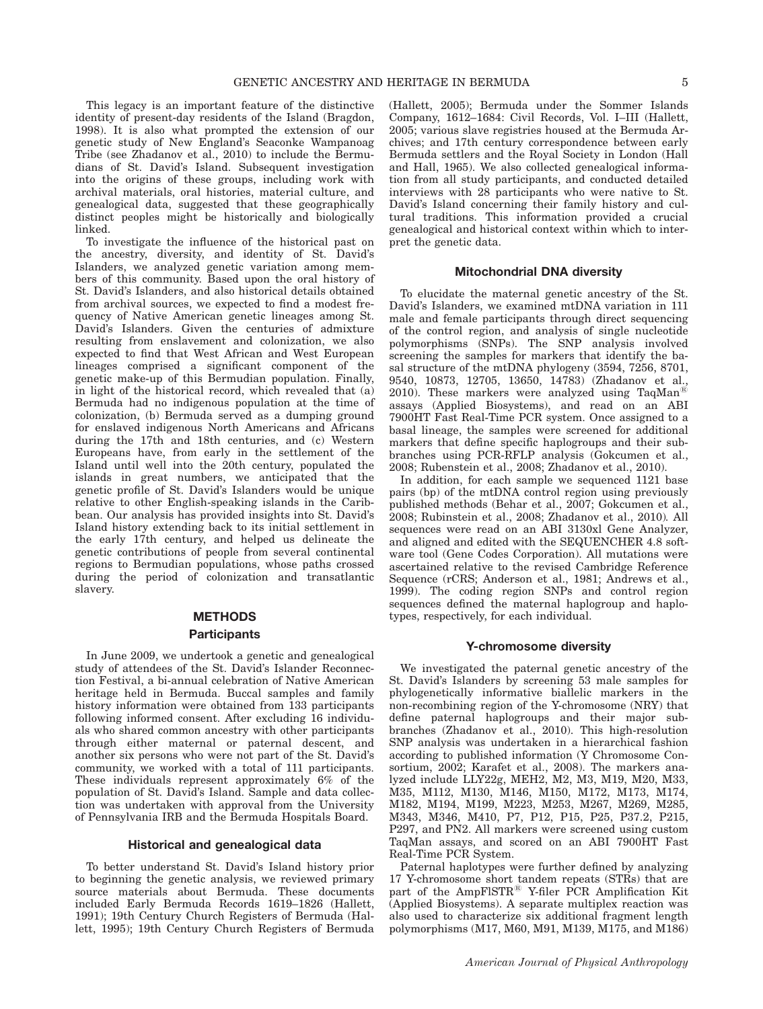This legacy is an important feature of the distinctive identity of present-day residents of the Island (Bragdon, 1998). It is also what prompted the extension of our genetic study of New England's Seaconke Wampanoag Tribe (see Zhadanov et al., 2010) to include the Bermudians of St. David's Island. Subsequent investigation into the origins of these groups, including work with archival materials, oral histories, material culture, and genealogical data, suggested that these geographically distinct peoples might be historically and biologically linked.

To investigate the influence of the historical past on the ancestry, diversity, and identity of St. David's Islanders, we analyzed genetic variation among members of this community. Based upon the oral history of St. David's Islanders, and also historical details obtained from archival sources, we expected to find a modest frequency of Native American genetic lineages among St. David's Islanders. Given the centuries of admixture resulting from enslavement and colonization, we also expected to find that West African and West European lineages comprised a significant component of the genetic make-up of this Bermudian population. Finally, in light of the historical record, which revealed that (a) Bermuda had no indigenous population at the time of colonization, (b) Bermuda served as a dumping ground for enslaved indigenous North Americans and Africans during the 17th and 18th centuries, and (c) Western Europeans have, from early in the settlement of the Island until well into the 20th century, populated the islands in great numbers, we anticipated that the genetic profile of St. David's Islanders would be unique relative to other English-speaking islands in the Caribbean. Our analysis has provided insights into St. David's Island history extending back to its initial settlement in the early 17th century, and helped us delineate the genetic contributions of people from several continental regions to Bermudian populations, whose paths crossed during the period of colonization and transatlantic slavery.

# METHODS

#### **Participants**

In June 2009, we undertook a genetic and genealogical study of attendees of the St. David's Islander Reconnection Festival, a bi-annual celebration of Native American heritage held in Bermuda. Buccal samples and family history information were obtained from 133 participants following informed consent. After excluding 16 individuals who shared common ancestry with other participants through either maternal or paternal descent, and another six persons who were not part of the St. David's community, we worked with a total of 111 participants. These individuals represent approximately 6% of the population of St. David's Island. Sample and data collection was undertaken with approval from the University of Pennsylvania IRB and the Bermuda Hospitals Board.

## Historical and genealogical data

To better understand St. David's Island history prior to beginning the genetic analysis, we reviewed primary source materials about Bermuda. These documents included Early Bermuda Records 1619–1826 (Hallett, 1991); 19th Century Church Registers of Bermuda (Hallett, 1995); 19th Century Church Registers of Bermuda

(Hallett, 2005); Bermuda under the Sommer Islands Company, 1612–1684: Civil Records, Vol. I–III (Hallett, 2005; various slave registries housed at the Bermuda Archives; and 17th century correspondence between early Bermuda settlers and the Royal Society in London (Hall and Hall, 1965). We also collected genealogical information from all study participants, and conducted detailed interviews with 28 participants who were native to St. David's Island concerning their family history and cultural traditions. This information provided a crucial genealogical and historical context within which to interpret the genetic data.

#### Mitochondrial DNA diversity

To elucidate the maternal genetic ancestry of the St. David's Islanders, we examined mtDNA variation in 111 male and female participants through direct sequencing of the control region, and analysis of single nucleotide polymorphisms (SNPs). The SNP analysis involved screening the samples for markers that identify the basal structure of the mtDNA phylogeny (3594, 7256, 8701, 9540, 10873, 12705, 13650, 14783) (Zhadanov et al., 2010). These markers were analyzed using TaqMan<sup>®</sup> assays (Applied Biosystems), and read on an ABI 7900HT Fast Real-Time PCR system. Once assigned to a basal lineage, the samples were screened for additional markers that define specific haplogroups and their subbranches using PCR-RFLP analysis (Gokcumen et al., 2008; Rubenstein et al., 2008; Zhadanov et al., 2010).

In addition, for each sample we sequenced 1121 base pairs (bp) of the mtDNA control region using previously published methods (Behar et al., 2007; Gokcumen et al., 2008; Rubinstein et al., 2008; Zhadanov et al., 2010). All sequences were read on an ABI 3130xl Gene Analyzer, and aligned and edited with the SEQUENCHER 4.8 software tool (Gene Codes Corporation). All mutations were ascertained relative to the revised Cambridge Reference Sequence (rCRS; Anderson et al., 1981; Andrews et al., 1999). The coding region SNPs and control region sequences defined the maternal haplogroup and haplotypes, respectively, for each individual.

#### Y-chromosome diversity

We investigated the paternal genetic ancestry of the St. David's Islanders by screening 53 male samples for phylogenetically informative biallelic markers in the non-recombining region of the Y-chromosome (NRY) that define paternal haplogroups and their major subbranches (Zhadanov et al., 2010). This high-resolution SNP analysis was undertaken in a hierarchical fashion according to published information (Y Chromosome Consortium, 2002; Karafet et al., 2008). The markers analyzed include LLY22g, MEH2, M2, M3, M19, M20, M33, M35, M112, M130, M146, M150, M172, M173, M174, M182, M194, M199, M223, M253, M267, M269, M285, M343, M346, M410, P7, P12, P15, P25, P37.2, P215, P297, and PN2. All markers were screened using custom TaqMan assays, and scored on an ABI 7900HT Fast Real-Time PCR System.

Paternal haplotypes were further defined by analyzing 17 Y-chromosome short tandem repeats (STRs) that are part of the  $AmpFISTR^{(8)}$  Y-filer PCR Amplification Kit (Applied Biosystems). A separate multiplex reaction was also used to characterize six additional fragment length polymorphisms (M17, M60, M91, M139, M175, and M186)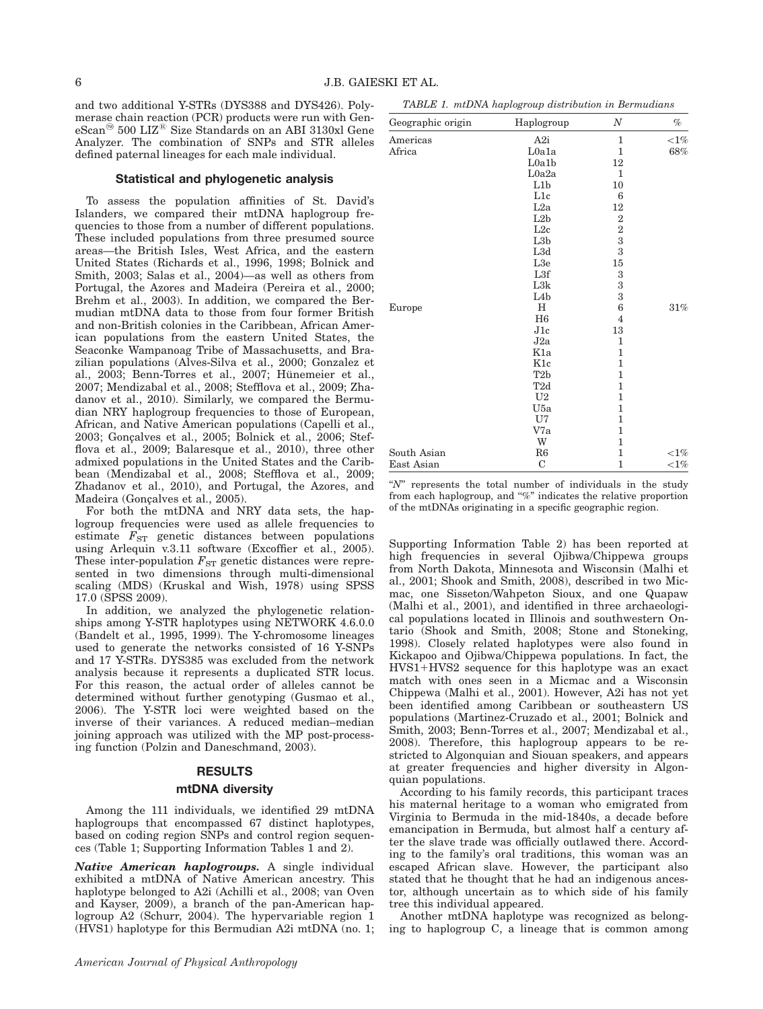and two additional Y-STRs (DYS388 and DYS426). Polymerase chain reaction (PCR) products were run with Gen $e$ Scan<sup>(w)</sup> 500 LIZ<sup>(k)</sup> Size Standards on an ABI 3130xl Gene Analyzer. The combination of SNPs and STR alleles defined paternal lineages for each male individual.

### Statistical and phylogenetic analysis

To assess the population affinities of St. David's Islanders, we compared their mtDNA haplogroup frequencies to those from a number of different populations. These included populations from three presumed source areas—the British Isles, West Africa, and the eastern United States (Richards et al., 1996, 1998; Bolnick and Smith, 2003; Salas et al., 2004)—as well as others from Portugal, the Azores and Madeira (Pereira et al., 2000; Brehm et al., 2003). In addition, we compared the Bermudian mtDNA data to those from four former British and non-British colonies in the Caribbean, African American populations from the eastern United States, the Seaconke Wampanoag Tribe of Massachusetts, and Brazilian populations (Alves-Silva et al., 2000; Gonzalez et al., 2003; Benn-Torres et al., 2007; Hünemeier et al., 2007; Mendizabal et al., 2008; Stefflova et al., 2009; Zhadanov et al., 2010). Similarly, we compared the Bermudian NRY haplogroup frequencies to those of European, African, and Native American populations (Capelli et al., 2003; Gonçalves et al., 2005; Bolnick et al., 2006; Stefflova et al., 2009; Balaresque et al., 2010), three other admixed populations in the United States and the Caribbean (Mendizabal et al., 2008; Stefflova et al., 2009; Zhadanov et al., 2010), and Portugal, the Azores, and Madeira (Gonçalves et al., 2005).

For both the mtDNA and NRY data sets, the haplogroup frequencies were used as allele frequencies to estimate  $\overrightarrow{F}_{ST}$  genetic distances between populations using Arlequin v.3.11 software (Excoffier et al., 2005). These inter-population  $F_{ST}$  genetic distances were represented in two dimensions through multi-dimensional scaling (MDS) (Kruskal and Wish, 1978) using SPSS 17.0 (SPSS 2009).

In addition, we analyzed the phylogenetic relationships among Y-STR haplotypes using NETWORK 4.6.0.0 (Bandelt et al., 1995, 1999). The Y-chromosome lineages used to generate the networks consisted of 16 Y-SNPs and 17 Y-STRs. DYS385 was excluded from the network analysis because it represents a duplicated STR locus. For this reason, the actual order of alleles cannot be determined without further genotyping (Gusmao et al., 2006). The Y-STR loci were weighted based on the inverse of their variances. A reduced median–median joining approach was utilized with the MP post-processing function (Polzin and Daneschmand, 2003).

## RESULTS

#### mtDNA diversity

Among the 111 individuals, we identified 29 mtDNA haplogroups that encompassed 67 distinct haplotypes, based on coding region SNPs and control region sequences (Table 1; Supporting Information Tables 1 and 2).

Native American haplogroups. A single individual exhibited a mtDNA of Native American ancestry. This haplotype belonged to A2i (Achilli et al., 2008; van Oven and Kayser, 2009), a branch of the pan-American haplogroup A2 (Schurr, 2004). The hypervariable region 1 (HVS1) haplotype for this Bermudian A2i mtDNA (no. 1;

TABLE 1. mtDNA haplogroup distribution in Bermudians

| Geographic origin | Haplogroup       | $\boldsymbol{N}$ | $\%$<br>${<}1\%$ |  |
|-------------------|------------------|------------------|------------------|--|
| Americas          | A <sub>2i</sub>  | $\mathbf{1}$     |                  |  |
| Africa            | L0a1a            | $\mathbf{1}$     | 68%              |  |
|                   | L0a1b            | 12               |                  |  |
|                   | L0a2a            | 1                |                  |  |
|                   | L1b              | 10               |                  |  |
|                   | L1c              | 6                |                  |  |
|                   | L2a              | 12               |                  |  |
|                   | L2b              | $\overline{2}$   |                  |  |
|                   | L2c              | $\overline{2}$   |                  |  |
|                   | L3b              | $\overline{3}$   |                  |  |
|                   | L3d              | 3                |                  |  |
|                   | L3e              | 15               |                  |  |
|                   | L3f              | $\rm 3$          |                  |  |
|                   | L3k              | 3                |                  |  |
|                   | L <sub>4</sub> b | $\rm 3$          |                  |  |
| Europe            | H                | 6                | 31%              |  |
|                   | H <sub>6</sub>   | $\overline{4}$   |                  |  |
|                   | J1c              | 13               |                  |  |
|                   | J2a              | $\mathbf{1}$     |                  |  |
|                   | K <sub>1</sub> a | $\mathbf{1}$     |                  |  |
|                   | K <sub>1</sub> c | $\mathbf{1}$     |                  |  |
|                   | T2b              | $\mathbf{1}$     |                  |  |
|                   | T2d              | $\mathbf{1}$     |                  |  |
|                   | $\mathrm{U}2$    | $\mathbf{1}$     |                  |  |
|                   | U <sub>5a</sub>  | $\mathbf{1}$     |                  |  |
|                   | U7               | $\mathbf{1}$     |                  |  |
|                   | V7a              | $\mathbf{1}$     |                  |  |
|                   | W                | $\mathbf{1}$     |                  |  |
| South Asian       | R6               | $\mathbf{1}$     | ${<}1\%$         |  |
| East Asian        | $\mathcal{C}$    | $\overline{1}$   | ${<}1\%$         |  |

 $\sqrt[4]{N}$  represents the total number of individuals in the study from each haplogroup, and ''%'' indicates the relative proportion of the mtDNAs originating in a specific geographic region.

Supporting Information Table 2) has been reported at high frequencies in several Ojibwa/Chippewa groups from North Dakota, Minnesota and Wisconsin (Malhi et al., 2001; Shook and Smith, 2008), described in two Micmac, one Sisseton/Wahpeton Sioux, and one Quapaw (Malhi et al., 2001), and identified in three archaeological populations located in Illinois and southwestern Ontario (Shook and Smith, 2008; Stone and Stoneking, 1998). Closely related haplotypes were also found in Kickapoo and Ojibwa/Chippewa populations. In fact, the HVS1+HVS2 sequence for this haplotype was an exact match with ones seen in a Micmac and a Wisconsin Chippewa (Malhi et al., 2001). However, A2i has not yet been identified among Caribbean or southeastern US populations (Martinez-Cruzado et al., 2001; Bolnick and Smith, 2003; Benn-Torres et al., 2007; Mendizabal et al., 2008). Therefore, this haplogroup appears to be restricted to Algonquian and Siouan speakers, and appears at greater frequencies and higher diversity in Algonquian populations.

According to his family records, this participant traces his maternal heritage to a woman who emigrated from Virginia to Bermuda in the mid-1840s, a decade before emancipation in Bermuda, but almost half a century after the slave trade was officially outlawed there. According to the family's oral traditions, this woman was an escaped African slave. However, the participant also stated that he thought that he had an indigenous ancestor, although uncertain as to which side of his family tree this individual appeared.

Another mtDNA haplotype was recognized as belonging to haplogroup C, a lineage that is common among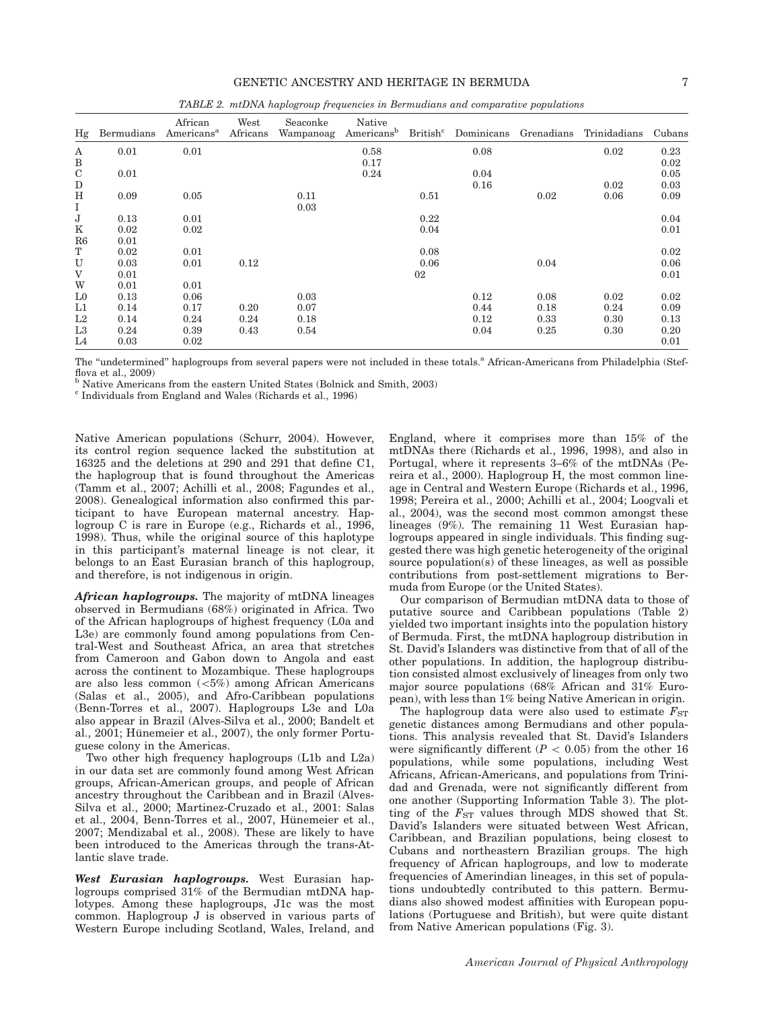| Hg             | Bermudians | African<br>Americans <sup>a</sup> | West<br>Africans | Seaconke<br>Wampanoag | Native<br>Americans <sup>b</sup> | British <sup>c</sup> | Dominicans | Grenadians | Trinidadians | Cubans |
|----------------|------------|-----------------------------------|------------------|-----------------------|----------------------------------|----------------------|------------|------------|--------------|--------|
| A              | 0.01       | 0.01                              |                  |                       | 0.58                             |                      | 0.08       |            | 0.02         | 0.23   |
| B              |            |                                   |                  |                       | 0.17                             |                      |            |            |              | 0.02   |
| $\mathbf C$    | 0.01       |                                   |                  |                       | 0.24                             |                      | 0.04       |            |              | 0.05   |
| D              |            |                                   |                  |                       |                                  |                      | 0.16       |            | 0.02         | 0.03   |
| Η              | 0.09       | 0.05                              |                  | 0.11                  |                                  | 0.51                 |            | 0.02       | 0.06         | 0.09   |
| I              |            |                                   |                  | 0.03                  |                                  |                      |            |            |              |        |
| J              | 0.13       | 0.01                              |                  |                       |                                  | 0.22                 |            |            |              | 0.04   |
| $\rm K$        | 0.02       | 0.02                              |                  |                       |                                  | 0.04                 |            |            |              | 0.01   |
| R6             | 0.01       |                                   |                  |                       |                                  |                      |            |            |              |        |
| T              | 0.02       | 0.01                              |                  |                       |                                  | 0.08                 |            |            |              | 0.02   |
| U              | 0.03       | 0.01                              | 0.12             |                       |                                  | 0.06                 |            | 0.04       |              | 0.06   |
| V              | 0.01       |                                   |                  |                       |                                  | 02                   |            |            |              | 0.01   |
| W              | 0.01       | 0.01                              |                  |                       |                                  |                      |            |            |              |        |
| L <sub>0</sub> | 0.13       | 0.06                              |                  | 0.03                  |                                  |                      | 0.12       | 0.08       | 0.02         | 0.02   |
| $_{\rm L1}$    | 0.14       | 0.17                              | 0.20             | 0.07                  |                                  |                      | 0.44       | 0.18       | 0.24         | 0.09   |
| L2             | 0.14       | 0.24                              | 0.24             | 0.18                  |                                  |                      | 0.12       | 0.33       | 0.30         | 0.13   |
| L <sub>3</sub> | 0.24       | 0.39                              | 0.43             | 0.54                  |                                  |                      | 0.04       | 0.25       | 0.30         | 0.20   |
| L4             | 0.03       | 0.02                              |                  |                       |                                  |                      |            |            |              | 0.01   |

TABLE 2. mtDNA haplogroup frequencies in Bermudians and comparative populations

The "undetermined" haplogroups from several papers were not included in these totals.<sup>a</sup> African-Americans from Philadelphia (Stefflova et al., 2009)

 $^{\rm b}$  Native Americans from the eastern United States (Bolnick and Smith, 2003) $^{\rm c}$  Individuals from England and Wales (Richards et al., 1996)

Native American populations (Schurr, 2004). However, its control region sequence lacked the substitution at 16325 and the deletions at 290 and 291 that define C1, the haplogroup that is found throughout the Americas (Tamm et al., 2007; Achilli et al., 2008; Fagundes et al., 2008). Genealogical information also confirmed this participant to have European maternal ancestry. Haplogroup C is rare in Europe (e.g., Richards et al., 1996, 1998). Thus, while the original source of this haplotype in this participant's maternal lineage is not clear, it belongs to an East Eurasian branch of this haplogroup, and therefore, is not indigenous in origin.

African haplogroups. The majority of mtDNA lineages observed in Bermudians (68%) originated in Africa. Two of the African haplogroups of highest frequency (L0a and L3e) are commonly found among populations from Central-West and Southeast Africa, an area that stretches from Cameroon and Gabon down to Angola and east across the continent to Mozambique. These haplogroups are also less common (\5%) among African Americans (Salas et al., 2005), and Afro-Caribbean populations (Benn-Torres et al., 2007). Haplogroups L3e and L0a also appear in Brazil (Alves-Silva et al., 2000; Bandelt et al., 2001; Hünemeier et al., 2007), the only former Portuguese colony in the Americas.

Two other high frequency haplogroups (L1b and L2a) in our data set are commonly found among West African groups, African-American groups, and people of African ancestry throughout the Caribbean and in Brazil (Alves-Silva et al., 2000; Martinez-Cruzado et al., 2001: Salas et al., 2004, Benn-Torres et al., 2007, Hünemeier et al., 2007; Mendizabal et al., 2008). These are likely to have been introduced to the Americas through the trans-Atlantic slave trade.

West Eurasian haplogroups. West Eurasian haplogroups comprised 31% of the Bermudian mtDNA haplotypes. Among these haplogroups, J1c was the most common. Haplogroup J is observed in various parts of Western Europe including Scotland, Wales, Ireland, and

England, where it comprises more than 15% of the mtDNAs there (Richards et al., 1996, 1998), and also in Portugal, where it represents 3–6% of the mtDNAs (Pereira et al., 2000). Haplogroup H, the most common lineage in Central and Western Europe (Richards et al., 1996, 1998; Pereira et al., 2000; Achilli et al., 2004; Loogvali et al., 2004), was the second most common amongst these lineages (9%). The remaining 11 West Eurasian haplogroups appeared in single individuals. This finding suggested there was high genetic heterogeneity of the original source population(s) of these lineages, as well as possible contributions from post-settlement migrations to Bermuda from Europe (or the United States).

Our comparison of Bermudian mtDNA data to those of putative source and Caribbean populations (Table 2) yielded two important insights into the population history of Bermuda. First, the mtDNA haplogroup distribution in St. David's Islanders was distinctive from that of all of the other populations. In addition, the haplogroup distribution consisted almost exclusively of lineages from only two major source populations (68% African and 31% European), with less than 1% being Native American in origin.

The haplogroup data were also used to estimate  $F_{ST}$ genetic distances among Bermudians and other populations. This analysis revealed that St. David's Islanders were significantly different ( $P < 0.05$ ) from the other 16 populations, while some populations, including West Africans, African-Americans, and populations from Trinidad and Grenada, were not significantly different from one another (Supporting Information Table 3). The plotting of the  $F_{ST}$  values through MDS showed that St. David's Islanders were situated between West African, Caribbean, and Brazilian populations, being closest to Cubans and northeastern Brazilian groups. The high frequency of African haplogroups, and low to moderate frequencies of Amerindian lineages, in this set of populations undoubtedly contributed to this pattern. Bermudians also showed modest affinities with European populations (Portuguese and British), but were quite distant from Native American populations (Fig. 3).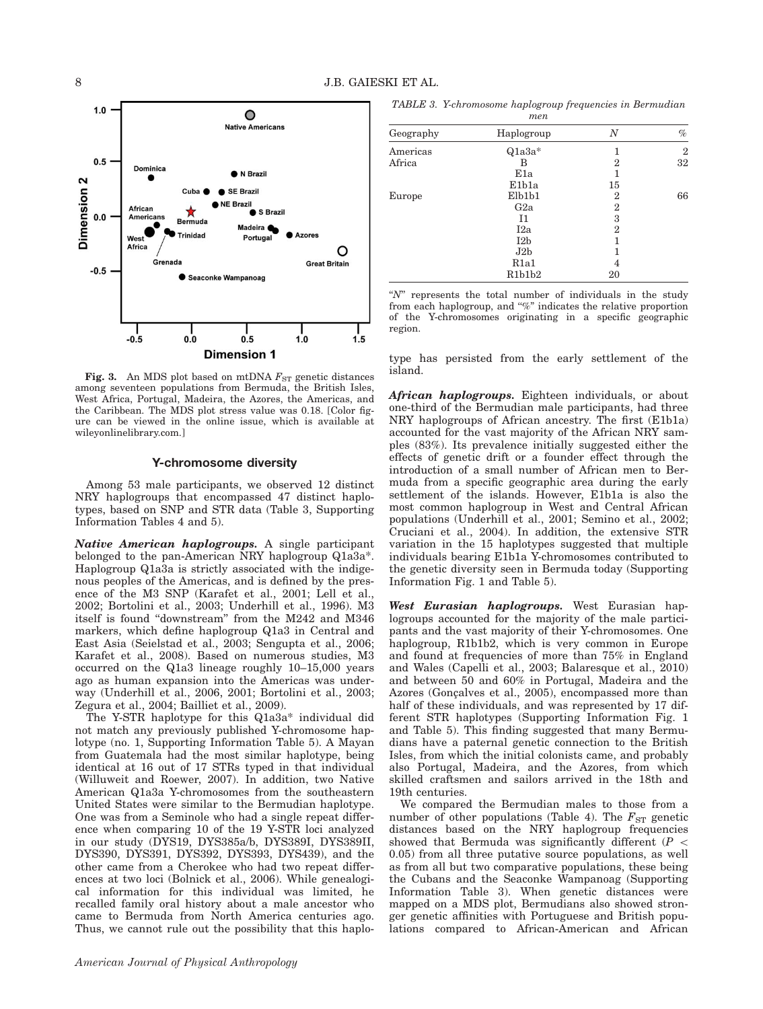

**Fig. 3.** An MDS plot based on mtDNA  $F_{ST}$  genetic distances among seventeen populations from Bermuda, the British Isles, West Africa, Portugal, Madeira, the Azores, the Americas, and the Caribbean. The MDS plot stress value was 0.18. [Color figure can be viewed in the online issue, which is available at wileyonlinelibrary.com.]

#### Y-chromosome diversity

Among 53 male participants, we observed 12 distinct NRY haplogroups that encompassed 47 distinct haplotypes, based on SNP and STR data (Table 3, Supporting Information Tables 4 and 5).

Native American haplogroups. A single participant belonged to the pan-American NRY haplogroup Q1a3a\*. Haplogroup Q1a3a is strictly associated with the indigenous peoples of the Americas, and is defined by the presence of the M3 SNP (Karafet et al., 2001; Lell et al., 2002; Bortolini et al., 2003; Underhill et al., 1996). M3 itself is found ''downstream'' from the M242 and M346 markers, which define haplogroup Q1a3 in Central and East Asia (Seielstad et al., 2003; Sengupta et al., 2006; Karafet et al., 2008). Based on numerous studies, M3 occurred on the Q1a3 lineage roughly 10–15,000 years ago as human expansion into the Americas was underway (Underhill et al., 2006, 2001; Bortolini et al., 2003; Zegura et al., 2004; Bailliet et al., 2009).

The Y-STR haplotype for this Q1a3a\* individual did not match any previously published Y-chromosome haplotype (no. 1, Supporting Information Table 5). A Mayan from Guatemala had the most similar haplotype, being identical at 16 out of 17 STRs typed in that individual (Willuweit and Roewer, 2007). In addition, two Native American Q1a3a Y-chromosomes from the southeastern United States were similar to the Bermudian haplotype. One was from a Seminole who had a single repeat difference when comparing 10 of the 19 Y-STR loci analyzed in our study (DYS19, DYS385a/b, DYS389I, DYS389II, DYS390, DYS391, DYS392, DYS393, DYS439), and the other came from a Cherokee who had two repeat differences at two loci (Bolnick et al., 2006). While genealogical information for this individual was limited, he recalled family oral history about a male ancestor who came to Bermuda from North America centuries ago. Thus, we cannot rule out the possibility that this haplo-

TABLE 3. Y-chromosome haplogroup frequencies in Bermudian men

| Geography | Haplogroup       | N              | $\%$           |
|-----------|------------------|----------------|----------------|
| Americas  | $Q1a3a*$         | 1              | $\overline{2}$ |
| Africa    | в                | 2              | 32             |
|           | E <sub>1</sub> a | 1              |                |
|           | E1b1a            | 15             |                |
| Europe    | Elb1b1           | $\overline{2}$ | 66             |
|           | G2a              | $\overline{2}$ |                |
|           | I <sub>1</sub>   | 3              |                |
|           | I2a              | $\overline{2}$ |                |
|           | 12 <sub>b</sub>  | 1              |                |
|           | J2 <sub>b</sub>  | 1              |                |
|           | R1a1             | 4              |                |
|           | R1b1b2           | 20             |                |

 $N$ " represents the total number of individuals in the study from each haplogroup, and "%" indicates the relative proportion of the Y-chromosomes originating in a specific geographic region.

type has persisted from the early settlement of the island.

African haplogroups. Eighteen individuals, or about one-third of the Bermudian male participants, had three NRY haplogroups of African ancestry. The first (E1b1a) accounted for the vast majority of the African NRY samples (83%). Its prevalence initially suggested either the effects of genetic drift or a founder effect through the introduction of a small number of African men to Bermuda from a specific geographic area during the early settlement of the islands. However, E1b1a is also the most common haplogroup in West and Central African populations (Underhill et al., 2001; Semino et al., 2002; Cruciani et al., 2004). In addition, the extensive STR variation in the 15 haplotypes suggested that multiple individuals bearing E1b1a Y-chromosomes contributed to the genetic diversity seen in Bermuda today (Supporting Information Fig. 1 and Table 5).

West Eurasian haplogroups. West Eurasian haplogroups accounted for the majority of the male participants and the vast majority of their Y-chromosomes. One haplogroup, R1b1b2, which is very common in Europe and found at frequencies of more than 75% in England and Wales (Capelli et al., 2003; Balaresque et al., 2010) and between 50 and 60% in Portugal, Madeira and the Azores (Gonçalves et al., 2005), encompassed more than half of these individuals, and was represented by 17 different STR haplotypes (Supporting Information Fig. 1 and Table 5). This finding suggested that many Bermudians have a paternal genetic connection to the British Isles, from which the initial colonists came, and probably also Portugal, Madeira, and the Azores, from which skilled craftsmen and sailors arrived in the 18th and 19th centuries.

We compared the Bermudian males to those from a number of other populations (Table 4). The  $F_{ST}$  genetic distances based on the NRY haplogroup frequencies showed that Bermuda was significantly different ( $P \lt \theta$ 0.05) from all three putative source populations, as well as from all but two comparative populations, these being the Cubans and the Seaconke Wampanoag (Supporting Information Table 3). When genetic distances were mapped on a MDS plot, Bermudians also showed stronger genetic affinities with Portuguese and British populations compared to African-American and African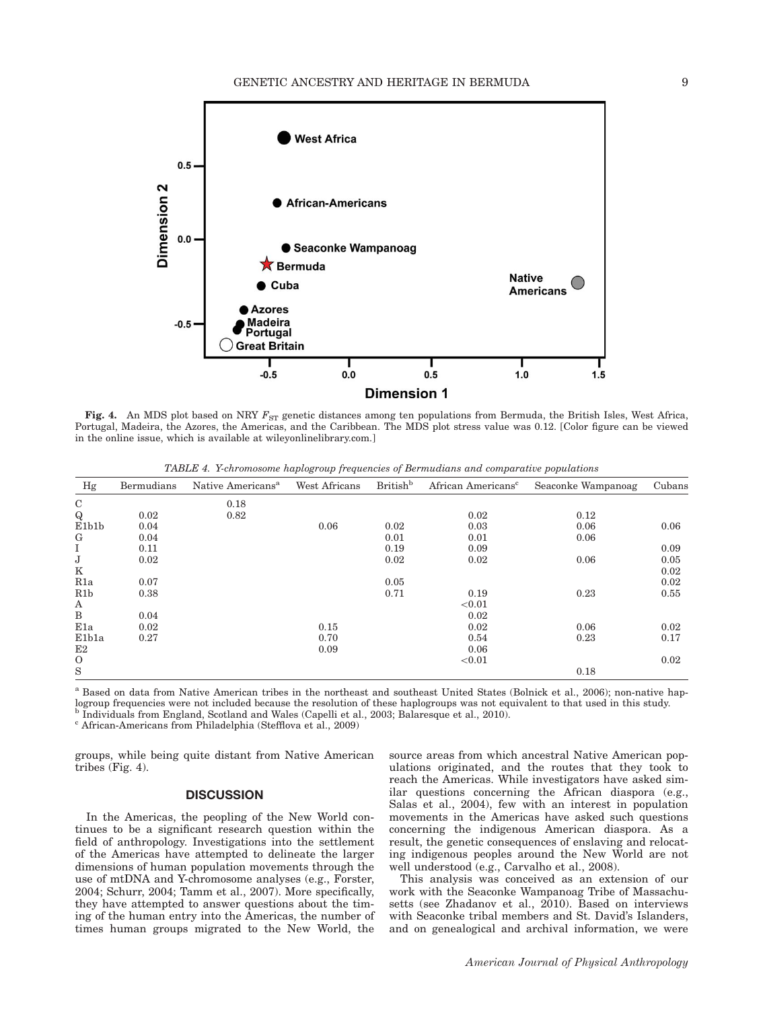

Fig. 4. An MDS plot based on NRY  $F_{ST}$  genetic distances among ten populations from Bermuda, the British Isles, West Africa, Portugal, Madeira, the Azores, the Americas, and the Caribbean. The MDS plot stress value was 0.12. [Color figure can be viewed in the online issue, which is available at wileyonlinelibrary.com.]

TABLE 4. Y-chromosome haplogroup frequencies of Bermudians and comparative populations

| Hg               | Bermudians | Native Americans <sup>a</sup> | West Africans | <b>British</b> <sup>b</sup> | African Americans <sup>c</sup> | Seaconke Wampanoag | Cubans |
|------------------|------------|-------------------------------|---------------|-----------------------------|--------------------------------|--------------------|--------|
| $\mathbf C$      |            | 0.18                          |               |                             |                                |                    |        |
| $\mathbf Q$      | 0.02       | 0.82                          |               |                             | 0.02                           | 0.12               |        |
| E1b1b            | 0.04       |                               | 0.06          | 0.02                        | 0.03                           | 0.06               | 0.06   |
| G                | 0.04       |                               |               | 0.01                        | 0.01                           | 0.06               |        |
| I                | 0.11       |                               |               | 0.19                        | 0.09                           |                    | 0.09   |
| J                | 0.02       |                               |               | 0.02                        | 0.02                           | 0.06               | 0.05   |
| $\rm K$          |            |                               |               |                             |                                |                    | 0.02   |
| R <sub>1</sub> a | 0.07       |                               |               | 0.05                        |                                |                    | 0.02   |
| R1b              | 0.38       |                               |               | 0.71                        | 0.19                           | 0.23               | 0.55   |
| A                |            |                               |               |                             | < 0.01                         |                    |        |
| $\, {\bf B}$     | 0.04       |                               |               |                             | 0.02                           |                    |        |
| E <sub>1a</sub>  | 0.02       |                               | 0.15          |                             | 0.02                           | 0.06               | 0.02   |
| E1b1a            | 0.27       |                               | 0.70          |                             | 0.54                           | 0.23               | 0.17   |
| E2               |            |                               | 0.09          |                             | 0.06                           |                    |        |
| $\mathbf{O}$     |            |                               |               |                             | < 0.01                         |                    | 0.02   |
| S                |            |                               |               |                             |                                | 0.18               |        |

<sup>a</sup> Based on data from Native American tribes in the northeast and southeast United States (Bolnick et al., 2006); non-native haplogroup frequencies were not included because the resolution of these haplogroups was not equivalent to that used in this study. b Individuals from England, Scotland and Wales (Capelli et al., 2003; Balaresque et al., 2010).<br>c African-Americans from Philadelphia (Stefflova et al., 2009)

groups, while being quite distant from Native American tribes (Fig. 4).

# **DISCUSSION**

In the Americas, the peopling of the New World continues to be a significant research question within the field of anthropology. Investigations into the settlement of the Americas have attempted to delineate the larger dimensions of human population movements through the use of mtDNA and Y-chromosome analyses (e.g., Forster, 2004; Schurr, 2004; Tamm et al., 2007). More specifically, they have attempted to answer questions about the timing of the human entry into the Americas, the number of times human groups migrated to the New World, the

source areas from which ancestral Native American populations originated, and the routes that they took to reach the Americas. While investigators have asked similar questions concerning the African diaspora (e.g., Salas et al., 2004), few with an interest in population movements in the Americas have asked such questions concerning the indigenous American diaspora. As a result, the genetic consequences of enslaving and relocating indigenous peoples around the New World are not well understood (e.g., Carvalho et al., 2008).

This analysis was conceived as an extension of our work with the Seaconke Wampanoag Tribe of Massachusetts (see Zhadanov et al., 2010). Based on interviews with Seaconke tribal members and St. David's Islanders, and on genealogical and archival information, we were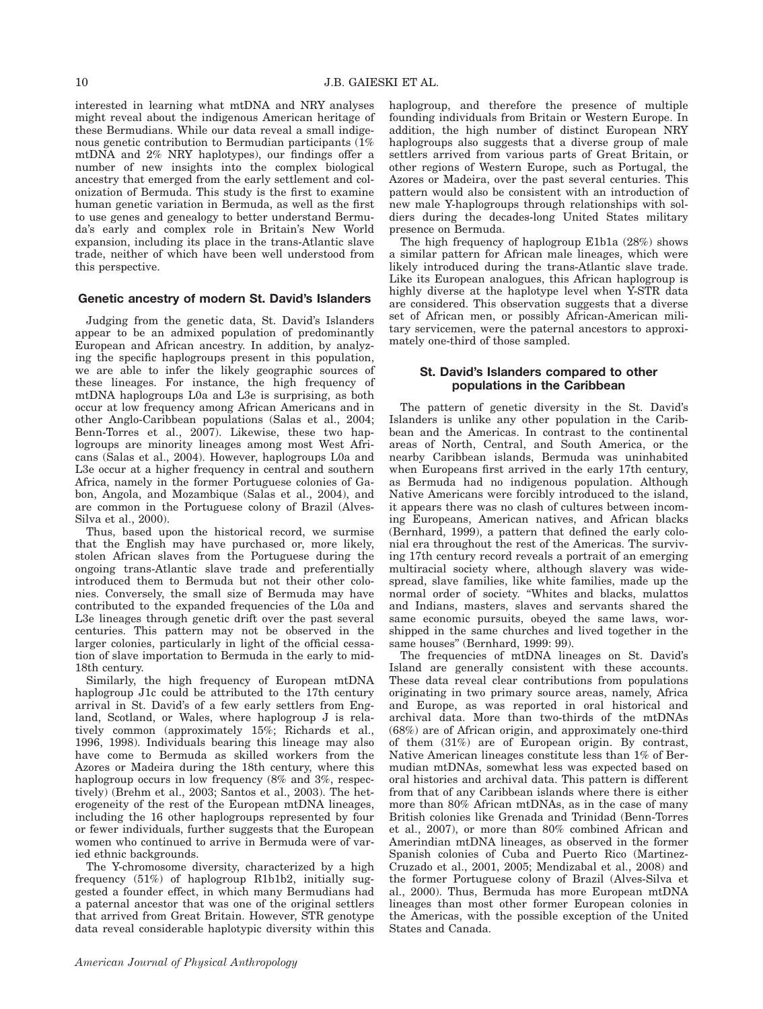interested in learning what mtDNA and NRY analyses might reveal about the indigenous American heritage of these Bermudians. While our data reveal a small indigenous genetic contribution to Bermudian participants (1% mtDNA and 2% NRY haplotypes), our findings offer a number of new insights into the complex biological ancestry that emerged from the early settlement and colonization of Bermuda. This study is the first to examine human genetic variation in Bermuda, as well as the first to use genes and genealogy to better understand Bermuda's early and complex role in Britain's New World expansion, including its place in the trans-Atlantic slave trade, neither of which have been well understood from this perspective.

## Genetic ancestry of modern St. David's Islanders

Judging from the genetic data, St. David's Islanders appear to be an admixed population of predominantly European and African ancestry. In addition, by analyzing the specific haplogroups present in this population, we are able to infer the likely geographic sources of these lineages. For instance, the high frequency of mtDNA haplogroups L0a and L3e is surprising, as both occur at low frequency among African Americans and in other Anglo-Caribbean populations (Salas et al., 2004; Benn-Torres et al., 2007). Likewise, these two haplogroups are minority lineages among most West Africans (Salas et al., 2004). However, haplogroups L0a and L3e occur at a higher frequency in central and southern Africa, namely in the former Portuguese colonies of Gabon, Angola, and Mozambique (Salas et al., 2004), and are common in the Portuguese colony of Brazil (Alves-Silva et al., 2000).

Thus, based upon the historical record, we surmise that the English may have purchased or, more likely, stolen African slaves from the Portuguese during the ongoing trans-Atlantic slave trade and preferentially introduced them to Bermuda but not their other colonies. Conversely, the small size of Bermuda may have contributed to the expanded frequencies of the L0a and L3e lineages through genetic drift over the past several centuries. This pattern may not be observed in the larger colonies, particularly in light of the official cessation of slave importation to Bermuda in the early to mid-18th century.

Similarly, the high frequency of European mtDNA haplogroup J1c could be attributed to the 17th century arrival in St. David's of a few early settlers from England, Scotland, or Wales, where haplogroup J is relatively common (approximately 15%; Richards et al., 1996, 1998). Individuals bearing this lineage may also have come to Bermuda as skilled workers from the Azores or Madeira during the 18th century, where this haplogroup occurs in low frequency (8% and 3%, respectively) (Brehm et al., 2003; Santos et al., 2003). The heterogeneity of the rest of the European mtDNA lineages, including the 16 other haplogroups represented by four or fewer individuals, further suggests that the European women who continued to arrive in Bermuda were of varied ethnic backgrounds.

The Y-chromosome diversity, characterized by a high frequency (51%) of haplogroup R1b1b2, initially suggested a founder effect, in which many Bermudians had a paternal ancestor that was one of the original settlers that arrived from Great Britain. However, STR genotype data reveal considerable haplotypic diversity within this

haplogroup, and therefore the presence of multiple founding individuals from Britain or Western Europe. In addition, the high number of distinct European NRY haplogroups also suggests that a diverse group of male settlers arrived from various parts of Great Britain, or other regions of Western Europe, such as Portugal, the Azores or Madeira, over the past several centuries. This pattern would also be consistent with an introduction of new male Y-haplogroups through relationships with soldiers during the decades-long United States military presence on Bermuda.

The high frequency of haplogroup E1b1a (28%) shows a similar pattern for African male lineages, which were likely introduced during the trans-Atlantic slave trade. Like its European analogues, this African haplogroup is highly diverse at the haplotype level when Y-STR data are considered. This observation suggests that a diverse set of African men, or possibly African-American military servicemen, were the paternal ancestors to approximately one-third of those sampled.

# St. David's Islanders compared to other populations in the Caribbean

The pattern of genetic diversity in the St. David's Islanders is unlike any other population in the Caribbean and the Americas. In contrast to the continental areas of North, Central, and South America, or the nearby Caribbean islands, Bermuda was uninhabited when Europeans first arrived in the early 17th century, as Bermuda had no indigenous population. Although Native Americans were forcibly introduced to the island, it appears there was no clash of cultures between incoming Europeans, American natives, and African blacks (Bernhard, 1999), a pattern that defined the early colonial era throughout the rest of the Americas. The surviving 17th century record reveals a portrait of an emerging multiracial society where, although slavery was widespread, slave families, like white families, made up the normal order of society. ''Whites and blacks, mulattos and Indians, masters, slaves and servants shared the same economic pursuits, obeyed the same laws, worshipped in the same churches and lived together in the same houses" (Bernhard, 1999: 99).

The frequencies of mtDNA lineages on St. David's Island are generally consistent with these accounts. These data reveal clear contributions from populations originating in two primary source areas, namely, Africa and Europe, as was reported in oral historical and archival data. More than two-thirds of the mtDNAs (68%) are of African origin, and approximately one-third of them (31%) are of European origin. By contrast, Native American lineages constitute less than 1% of Bermudian mtDNAs, somewhat less was expected based on oral histories and archival data. This pattern is different from that of any Caribbean islands where there is either more than 80% African mtDNAs, as in the case of many British colonies like Grenada and Trinidad (Benn-Torres et al., 2007), or more than 80% combined African and Amerindian mtDNA lineages, as observed in the former Spanish colonies of Cuba and Puerto Rico (Martinez-Cruzado et al., 2001, 2005; Mendizabal et al., 2008) and the former Portuguese colony of Brazil (Alves-Silva et al., 2000). Thus, Bermuda has more European mtDNA lineages than most other former European colonies in the Americas, with the possible exception of the United States and Canada.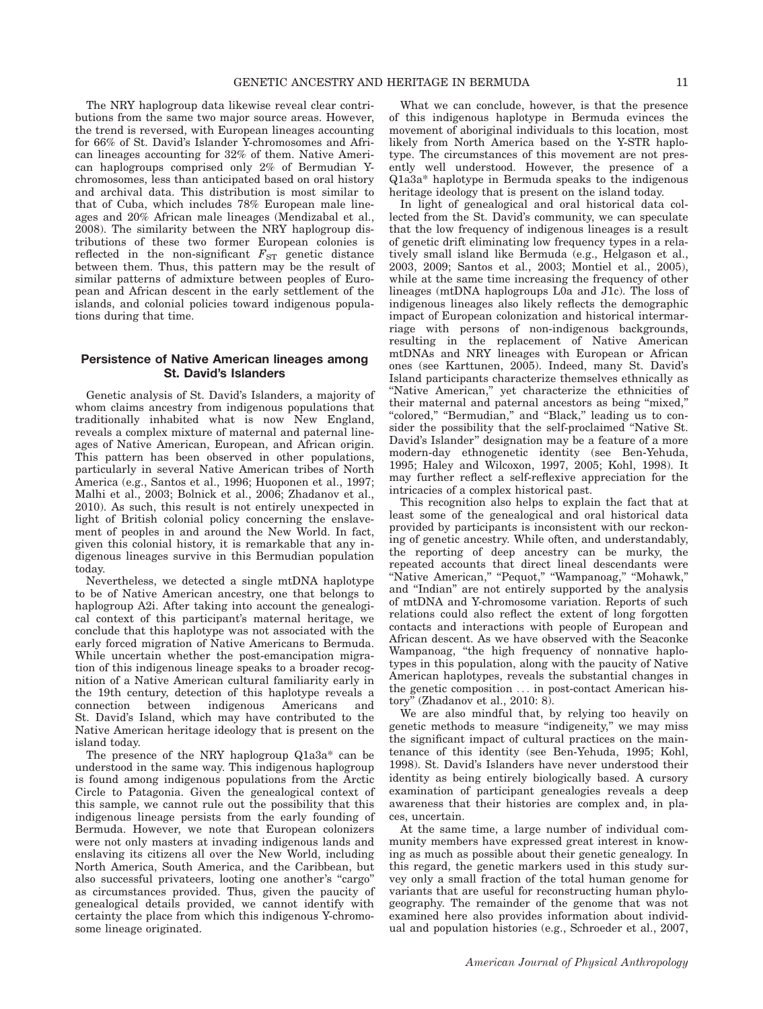The NRY haplogroup data likewise reveal clear contributions from the same two major source areas. However, the trend is reversed, with European lineages accounting for 66% of St. David's Islander Y-chromosomes and African lineages accounting for 32% of them. Native American haplogroups comprised only 2% of Bermudian Ychromosomes, less than anticipated based on oral history and archival data. This distribution is most similar to that of Cuba, which includes 78% European male lineages and 20% African male lineages (Mendizabal et al., 2008). The similarity between the NRY haplogroup distributions of these two former European colonies is reflected in the non-significant  $F_{ST}$  genetic distance between them. Thus, this pattern may be the result of similar patterns of admixture between peoples of European and African descent in the early settlement of the islands, and colonial policies toward indigenous populations during that time.

# Persistence of Native American lineages among St. David's Islanders

Genetic analysis of St. David's Islanders, a majority of whom claims ancestry from indigenous populations that traditionally inhabited what is now New England, reveals a complex mixture of maternal and paternal lineages of Native American, European, and African origin. This pattern has been observed in other populations, particularly in several Native American tribes of North America (e.g., Santos et al., 1996; Huoponen et al., 1997; Malhi et al., 2003; Bolnick et al., 2006; Zhadanov et al., 2010). As such, this result is not entirely unexpected in light of British colonial policy concerning the enslavement of peoples in and around the New World. In fact, given this colonial history, it is remarkable that any indigenous lineages survive in this Bermudian population today.

Nevertheless, we detected a single mtDNA haplotype to be of Native American ancestry, one that belongs to haplogroup A2i. After taking into account the genealogical context of this participant's maternal heritage, we conclude that this haplotype was not associated with the early forced migration of Native Americans to Bermuda. While uncertain whether the post-emancipation migration of this indigenous lineage speaks to a broader recognition of a Native American cultural familiarity early in the 19th century, detection of this haplotype reveals a connection between indigenous Americans and St. David's Island, which may have contributed to the Native American heritage ideology that is present on the island today.

The presence of the NRY haplogroup Q1a3a\* can be understood in the same way. This indigenous haplogroup is found among indigenous populations from the Arctic Circle to Patagonia. Given the genealogical context of this sample, we cannot rule out the possibility that this indigenous lineage persists from the early founding of Bermuda. However, we note that European colonizers were not only masters at invading indigenous lands and enslaving its citizens all over the New World, including North America, South America, and the Caribbean, but also successful privateers, looting one another's ''cargo'' as circumstances provided. Thus, given the paucity of genealogical details provided, we cannot identify with certainty the place from which this indigenous Y-chromosome lineage originated.

What we can conclude, however, is that the presence of this indigenous haplotype in Bermuda evinces the movement of aboriginal individuals to this location, most likely from North America based on the Y-STR haplotype. The circumstances of this movement are not presently well understood. However, the presence of a Q1a3a\* haplotype in Bermuda speaks to the indigenous heritage ideology that is present on the island today.

In light of genealogical and oral historical data collected from the St. David's community, we can speculate that the low frequency of indigenous lineages is a result of genetic drift eliminating low frequency types in a relatively small island like Bermuda (e.g., Helgason et al., 2003, 2009; Santos et al., 2003; Montiel et al., 2005), while at the same time increasing the frequency of other lineages (mtDNA haplogroups L0a and J1c). The loss of indigenous lineages also likely reflects the demographic impact of European colonization and historical intermarriage with persons of non-indigenous backgrounds, resulting in the replacement of Native American mtDNAs and NRY lineages with European or African ones (see Karttunen, 2005). Indeed, many St. David's Island participants characterize themselves ethnically as "Native American," yet characterize the ethnicities of their maternal and paternal ancestors as being ''mixed,'' "colored," "Bermudian," and "Black," leading us to consider the possibility that the self-proclaimed ''Native St. David's Islander'' designation may be a feature of a more modern-day ethnogenetic identity (see Ben-Yehuda, 1995; Haley and Wilcoxon, 1997, 2005; Kohl, 1998). It may further reflect a self-reflexive appreciation for the intricacies of a complex historical past.

This recognition also helps to explain the fact that at least some of the genealogical and oral historical data provided by participants is inconsistent with our reckoning of genetic ancestry. While often, and understandably, the reporting of deep ancestry can be murky, the repeated accounts that direct lineal descendants were ''Native American,'' ''Pequot,'' ''Wampanoag,'' ''Mohawk,'' and "Indian" are not entirely supported by the analysis of mtDNA and Y-chromosome variation. Reports of such relations could also reflect the extent of long forgotten contacts and interactions with people of European and African descent. As we have observed with the Seaconke Wampanoag, ''the high frequency of nonnative haplotypes in this population, along with the paucity of Native American haplotypes, reveals the substantial changes in the genetic composition ... in post-contact American history'' (Zhadanov et al., 2010: 8).

We are also mindful that, by relying too heavily on genetic methods to measure ''indigeneity,'' we may miss the significant impact of cultural practices on the maintenance of this identity (see Ben-Yehuda, 1995; Kohl, 1998). St. David's Islanders have never understood their identity as being entirely biologically based. A cursory examination of participant genealogies reveals a deep awareness that their histories are complex and, in places, uncertain.

At the same time, a large number of individual community members have expressed great interest in knowing as much as possible about their genetic genealogy. In this regard, the genetic markers used in this study survey only a small fraction of the total human genome for variants that are useful for reconstructing human phylogeography. The remainder of the genome that was not examined here also provides information about individual and population histories (e.g., Schroeder et al., 2007,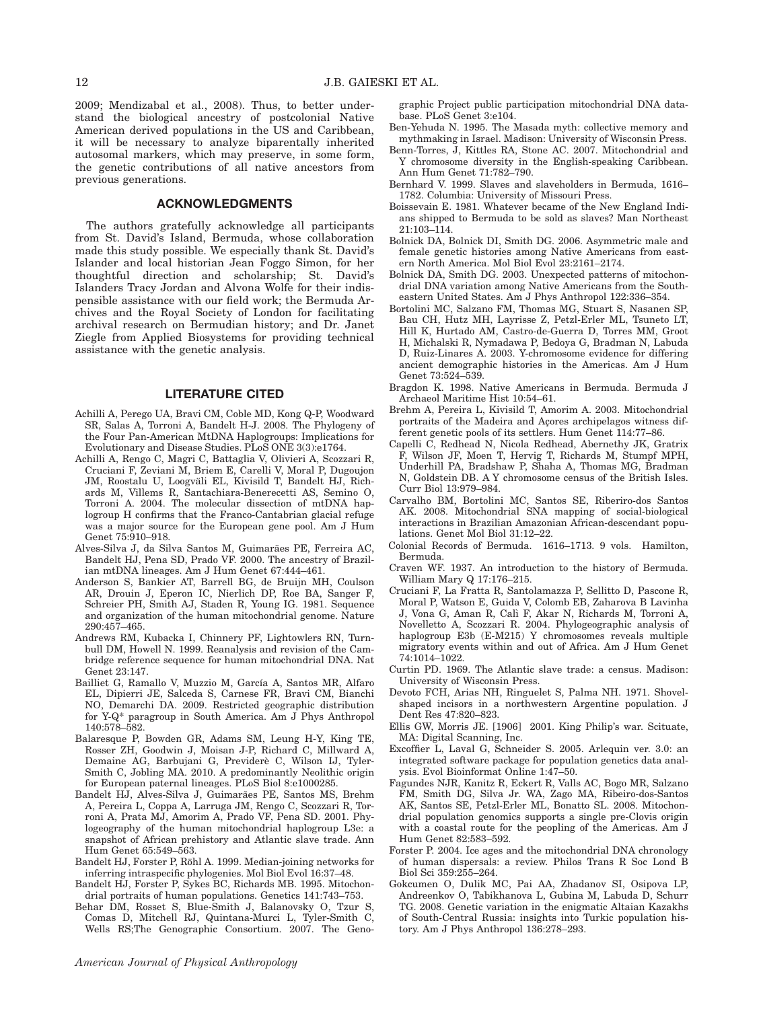2009; Mendizabal et al., 2008). Thus, to better understand the biological ancestry of postcolonial Native American derived populations in the US and Caribbean, it will be necessary to analyze biparentally inherited autosomal markers, which may preserve, in some form, the genetic contributions of all native ancestors from previous generations.

### ACKNOWLEDGMENTS

The authors gratefully acknowledge all participants from St. David's Island, Bermuda, whose collaboration made this study possible. We especially thank St. David's Islander and local historian Jean Foggo Simon, for her thoughtful direction and scholarship; St. David's Islanders Tracy Jordan and Alvona Wolfe for their indispensible assistance with our field work; the Bermuda Archives and the Royal Society of London for facilitating archival research on Bermudian history; and Dr. Janet Ziegle from Applied Biosystems for providing technical assistance with the genetic analysis.

#### LITERATURE CITED

- Achilli A, Perego UA, Bravi CM, Coble MD, Kong Q-P, Woodward SR, Salas A, Torroni A, Bandelt H-J. 2008. The Phylogeny of the Four Pan-American MtDNA Haplogroups: Implications for Evolutionary and Disease Studies. PLoS ONE 3(3):e1764.
- Achilli A, Rengo C, Magri C, Battaglia V, Olivieri A, Scozzari R, Cruciani F, Zeviani M, Briem E, Carelli V, Moral P, Dugoujon JM, Roostalu U, Loogväli EL, Kivisild T, Bandelt HJ, Richards M, Villems R, Santachiara-Benerecetti AS, Semino O, Torroni A. 2004. The molecular dissection of mtDNA haplogroup H confirms that the Franco-Cantabrian glacial refuge was a major source for the European gene pool. Am J Hum Genet 75:910–918.
- Alves-Silva J, da Silva Santos M, Guimarães PE, Ferreira AC, Bandelt HJ, Pena SD, Prado VF. 2000. The ancestry of Brazilian mtDNA lineages. Am J Hum Genet 67:444–461.
- Anderson S, Bankier AT, Barrell BG, de Bruijn MH, Coulson AR, Drouin J, Eperon IC, Nierlich DP, Roe BA, Sanger F, Schreier PH, Smith AJ, Staden R, Young IG. 1981. Sequence and organization of the human mitochondrial genome. Nature 290:457–465.
- Andrews RM, Kubacka I, Chinnery PF, Lightowlers RN, Turnbull DM, Howell N. 1999. Reanalysis and revision of the Cambridge reference sequence for human mitochondrial DNA. Nat Genet 23:147.
- Bailliet G, Ramallo V, Muzzio M, García A, Santos MR, Alfaro EL, Dipierri JE, Salceda S, Carnese FR, Bravi CM, Bianchi NO, Demarchi DA. 2009. Restricted geographic distribution for Y-Q\* paragroup in South America. Am J Phys Anthropol 140:578–582.
- Balaresque P, Bowden GR, Adams SM, Leung H-Y, King TE, Rosser ZH, Goodwin J, Moisan J-P, Richard C, Millward A, Demaine AG, Barbujani G, Previderè C, Wilson IJ, Tyler-Smith C, Jobling MA. 2010. A predominantly Neolithic origin for European paternal lineages. PLoS Biol 8:e1000285.
- Bandelt HJ, Alves-Silva J, Guimarães PE, Santos MS, Brehm A, Pereira L, Coppa A, Larruga JM, Rengo C, Scozzari R, Torroni A, Prata MJ, Amorim A, Prado VF, Pena SD. 2001. Phylogeography of the human mitochondrial haplogroup L3e: a snapshot of African prehistory and Atlantic slave trade. Ann Hum Genet 65:549–563.
- Bandelt HJ, Forster P, Röhl A. 1999. Median-joining networks for inferring intraspecific phylogenies. Mol Biol Evol 16:37–48.
- Bandelt HJ, Forster P, Sykes BC, Richards MB. 1995. Mitochondrial portraits of human populations. Genetics 141:743–753.
- Behar DM, Rosset S, Blue-Smith J, Balanovsky O, Tzur S, Comas D, Mitchell RJ, Quintana-Murci L, Tyler-Smith C, Wells RS;The Genographic Consortium. 2007. The Geno-

graphic Project public participation mitochondrial DNA database. PLoS Genet 3:e104.

- Ben-Yehuda N. 1995. The Masada myth: collective memory and mythmaking in Israel. Madison: University of Wisconsin Press.
- Benn-Torres, J, Kittles RA, Stone AC. 2007. Mitochondrial and Y chromosome diversity in the English-speaking Caribbean. Ann Hum Genet 71:782–790.
- Bernhard V. 1999. Slaves and slaveholders in Bermuda, 1616– 1782. Columbia: University of Missouri Press.
- Boissevain E. 1981. Whatever became of the New England Indians shipped to Bermuda to be sold as slaves? Man Northeast 21:103–114.
- Bolnick DA, Bolnick DI, Smith DG. 2006. Asymmetric male and female genetic histories among Native Americans from eastern North America. Mol Biol Evol 23:2161–2174.
- Bolnick DA, Smith DG. 2003. Unexpected patterns of mitochondrial DNA variation among Native Americans from the Southeastern United States. Am J Phys Anthropol 122:336–354.
- Bortolini MC, Salzano FM, Thomas MG, Stuart S, Nasanen SP, Bau CH, Hutz MH, Layrisse Z, Petzl-Erler ML, Tsuneto LT, Hill K, Hurtado AM, Castro-de-Guerra D, Torres MM, Groot H, Michalski R, Nymadawa P, Bedoya G, Bradman N, Labuda D, Ruiz-Linares A. 2003. Y-chromosome evidence for differing ancient demographic histories in the Americas. Am J Hum Genet 73:524–539.
- Bragdon K. 1998. Native Americans in Bermuda. Bermuda J Archaeol Maritime Hist 10:54–61.
- Brehm A, Pereira L, Kivisild T, Amorim A. 2003. Mitochondrial portraits of the Madeira and Açores archipelagos witness different genetic pools of its settlers. Hum Genet 114:77–86.
- Capelli C, Redhead N, Nicola Redhead, Abernethy JK, Gratrix F, Wilson JF, Moen T, Hervig T, Richards M, Stumpf MPH, Underhill PA, Bradshaw P, Shaha A, Thomas MG, Bradman N, Goldstein DB. A Y chromosome census of the British Isles. Curr Biol 13:979–984.
- Carvalho BM, Bortolini MC, Santos SE, Riberiro-dos Santos AK. 2008. Mitochondrial SNA mapping of social-biological interactions in Brazilian Amazonian African-descendant populations. Genet Mol Biol 31:12–22.
- Colonial Records of Bermuda. 1616–1713. 9 vols. Hamilton, Bermuda.
- Craven WF. 1937. An introduction to the history of Bermuda. William Mary Q 17:176–215.
- Cruciani F, La Fratta R, Santolamazza P, Sellitto D, Pascone R, Moral P, Watson E, Guida V, Colomb EB, Zaharova B Lavinha J, Vona G, Aman R, Calı` F, Akar N, Richards M, Torroni A, Novelletto A, Scozzari R. 2004. Phylogeographic analysis of haplogroup E3b (E-M215) Y chromosomes reveals multiple migratory events within and out of Africa. Am J Hum Genet 74:1014–1022.
- Curtin PD. 1969. The Atlantic slave trade: a census. Madison: University of Wisconsin Press.
- Devoto FCH, Arias NH, Ringuelet S, Palma NH. 1971. Shovelshaped incisors in a northwestern Argentine population. J Dent Res 47:820–823.
- Ellis GW, Morris JE. [1906] 2001. King Philip's war. Scituate, MA: Digital Scanning, Inc.
- Excoffier L, Laval G, Schneider S. 2005. Arlequin ver. 3.0: an integrated software package for population genetics data analysis. Evol Bioinformat Online 1:47–50.
- Fagundes NJR, Kanitz R, Eckert R, Valls AC, Bogo MR, Salzano FM, Smith DG, Silva Jr. WA, Zago MA, Ribeiro-dos-Santos AK, Santos SE, Petzl-Erler ML, Bonatto SL. 2008. Mitochondrial population genomics supports a single pre-Clovis origin with a coastal route for the peopling of the Americas. Am J Hum Genet 82:583–592.
- Forster P. 2004. Ice ages and the mitochondrial DNA chronology of human dispersals: a review. Philos Trans R Soc Lond B Biol Sci 359:255–264.
- Gokcumen O, Dulik MC, Pai AA, Zhadanov SI, Osipova LP, Andreenkov O, Tabikhanova L, Gubina M, Labuda D, Schurr TG. 2008. Genetic variation in the enigmatic Altaian Kazakhs of South-Central Russia: insights into Turkic population history. Am J Phys Anthropol 136:278–293.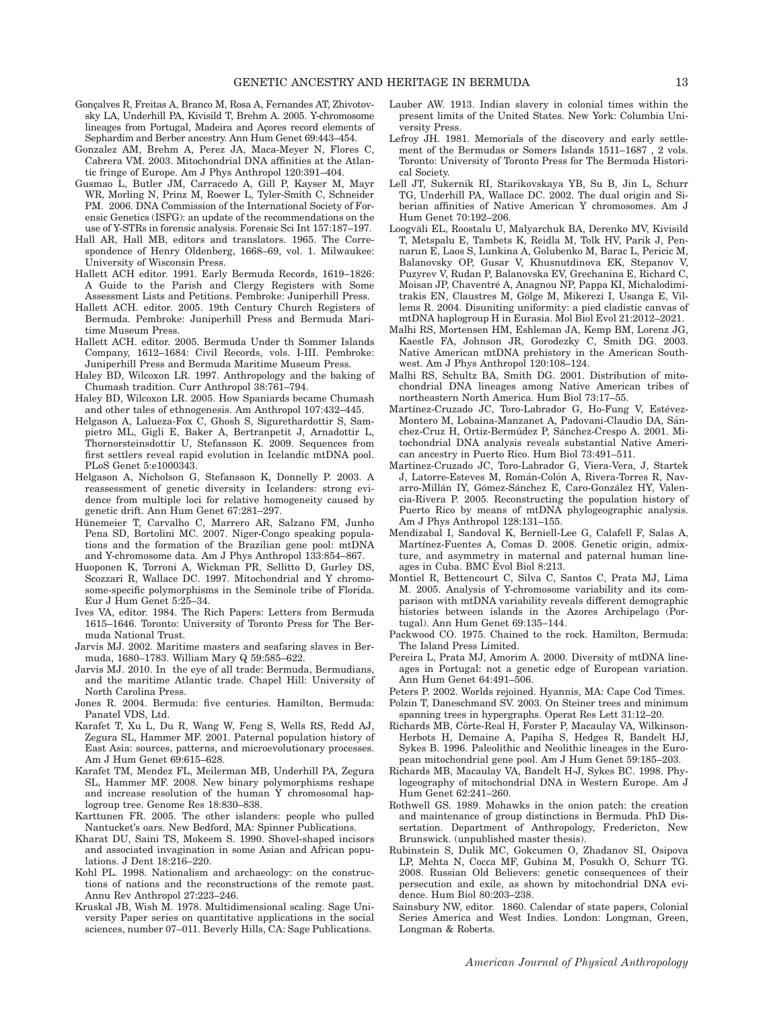- Gonçalves R, Freitas A, Branco M, Rosa A, Fernandes AT, Zhivotovsky LA, Underhill PA, Kivisild T, Brehm A. 2005. Y-chromosome lineages from Portugal, Madeira and Açores record elements of Sephardim and Berber ancestry. Ann Hum Genet 69:443–454.
- Gonzalez AM, Brehm A, Perez JA, Maca-Meyer N, Flores C, Cabrera VM. 2003. Mitochondrial DNA affinities at the Atlantic fringe of Europe. Am J Phys Anthropol 120:391–404.
- Gusmao L, Butler JM, Carracedo A, Gill P, Kayser M, Mayr WR, Morling N, Prinz M, Roewer L, Tyler-Smith C, Schneider PM. 2006. DNA Commission of the International Society of Forensic Genetics (ISFG): an update of the recommendations on the use of Y-STRs in forensic analysis. Forensic Sci Int 157:187–197.
- Hall AR, Hall MB, editors and translators. 1965. The Correspondence of Henry Oldenberg, 1668–69, vol. 1. Milwaukee: University of Wisconsin Press.
- Hallett ACH editor. 1991. Early Bermuda Records, 1619–1826: A Guide to the Parish and Clergy Registers with Some Assessment Lists and Petitions. Pembroke: Juniperhill Press.
- Hallett ACH. editor. 2005. 19th Century Church Registers of Bermuda. Pembroke: Juniperhill Press and Bermuda Maritime Museum Press.
- Hallett ACH. editor. 2005. Bermuda Under th Sommer Islands Company, 1612–1684: Civil Records, vols. I-III. Pembroke: Juniperhill Press and Bermuda Maritime Museum Press.
- Haley BD, Wilcoxon LR. 1997. Anthropology and the baking of Chumash tradition. Curr Anthropol 38:761–794.
- Haley BD, Wilcoxon LR. 2005. How Spaniards became Chumash and other tales of ethnogenesis. Am Anthropol 107:432–445.
- Helgason A, Lalueza-Fox C, Ghosh S, Sigurethardottir S, Sampietro ML, Gigli E, Baker A, Bertranpetit J, Arnadottir L, Thornorsteinsdottir U, Stefansson K. 2009. Sequences from first settlers reveal rapid evolution in Icelandic mtDNA pool. PLoS Genet 5:e1000343.
- Helgason A, Nicholson G, Stefansson K, Donnelly P. 2003. A reassessment of genetic diversity in Icelanders: strong evidence from multiple loci for relative homogeneity caused by genetic drift. Ann Hum Genet 67:281–297.
- Hünemeier T, Carvalho C, Marrero AR, Salzano FM, Junho Pena SD, Bortolini MC. 2007. Niger-Congo speaking populations and the formation of the Brazilian gene pool: mtDNA and Y-chromosome data. Am J Phys Anthropol 133:854–867.
- Huoponen K, Torroni A, Wickman PR, Sellitto D, Gurley DS, Scozzari R, Wallace DC. 1997. Mitochondrial and Y chromosome-specific polymorphisms in the Seminole tribe of Florida. Eur J Hum Genet 5:25–34.
- Ives VA, editor. 1984. The Rich Papers: Letters from Bermuda 1615–1646. Toronto: University of Toronto Press for The Bermuda National Trust.
- Jarvis MJ. 2002. Maritime masters and seafaring slaves in Bermuda, 1680–1783. William Mary Q 59:585–622.
- Jarvis MJ. 2010. In the eye of all trade: Bermuda, Bermudians, and the maritime Atlantic trade. Chapel Hill: University of North Carolina Press.
- Jones R. 2004. Bermuda: five centuries. Hamilton, Bermuda: Panatel VDS, Ltd.
- Karafet T, Xu L, Du R, Wang W, Feng S, Wells RS, Redd AJ, Zegura SL, Hammer MF. 2001. Paternal population history of East Asia: sources, patterns, and microevolutionary processes. Am J Hum Genet 69:615–628.
- Karafet TM, Mendez FL, Meilerman MB, Underhill PA, Zegura SL, Hammer MF. 2008. New binary polymorphisms reshape and increase resolution of the human Y chromosomal haplogroup tree. Genome Res 18:830–838.
- Karttunen FR. 2005. The other islanders: people who pulled Nantucket's oars. New Bedford, MA: Spinner Publications.
- Kharat DU, Saini TS, Mokeem S. 1990. Shovel-shaped incisors and associated invagination in some Asian and African populations. J Dent 18:216–220.
- Kohl PL. 1998. Nationalism and archaeology: on the constructions of nations and the reconstructions of the remote past. Annu Rev Anthropol 27:223–246.
- Kruskal JB, Wish M. 1978. Multidimensional scaling. Sage University Paper series on quantitative applications in the social sciences, number 07–011. Beverly Hills, CA: Sage Publications.
- Lauber AW. 1913. Indian slavery in colonial times within the present limits of the United States. New York: Columbia University Press.
- Lefroy JH. 1981. Memorials of the discovery and early settlement of the Bermudas or Somers Islands 1511–1687 , 2 vols. Toronto: University of Toronto Press for The Bermuda Historical Society.
- Lell JT, Sukernik RI, Starikovskaya YB, Su B, Jin L, Schurr TG, Underhill PA, Wallace DC. 2002. The dual origin and Siberian affinities of Native American Y chromosomes. Am J Hum Genet 70:192–206.
- Loogväli EL, Roostalu U, Malyarchuk BA, Derenko MV, Kivisild T, Metspalu E, Tambets K, Reidla M, Tolk HV, Parik J, Pennarun E, Laos S, Lunkina A, Golubenko M, Barac L, Pericic M, Balanovsky OP, Gusar V, Khusnutdinova EK, Stepanov V, Puzyrev V, Rudan P, Balanovska EV, Grechanina E, Richard C, Moisan JP, Chaventré A, Anagnou NP, Pappa KI, Michalodimitrakis EN, Claustres M, Gölge M, Mikerezi I, Usanga E, Villems R. 2004. Disuniting uniformity: a pied cladistic canvas of mtDNA haplogroup H in Eurasia. Mol Biol Evol 21:2012–2021.
- Malhi RS, Mortensen HM, Eshleman JA, Kemp BM, Lorenz JG, Kaestle FA, Johnson JR, Gorodezky C, Smith DG. 2003. Native American mtDNA prehistory in the American Southwest. Am J Phys Anthropol 120:108–124.
- Malhi RS, Schultz BA, Smith DG. 2001. Distribution of mitochondrial DNA lineages among Native American tribes of northeastern North America. Hum Biol 73:17–55.
- Martínez-Cruzado JC, Toro-Labrador G, Ho-Fung V, Estévez-Montero M, Lobaina-Manzanet A, Padovani-Claudio DA, Sánchez-Cruz H, Ortiz-Bermúdez P, Sánchez-Crespo A. 2001. Mitochondrial DNA analysis reveals substantial Native American ancestry in Puerto Rico. Hum Biol 73:491–511.
- Martinez-Cruzado JC, Toro-Labrador G, Viera-Vera, J, Startek J, Latorre-Esteves M, Román-Colón A, Rivera-Torres R, Navarro-Millán IY, Gómez-Sánchez E, Caro-González HY, Valencia-Rivera P. 2005. Reconstructing the population history of Puerto Rico by means of mtDNA phylogeographic analysis. Am J Phys Anthropol 128:131–155.
- Mendizabal I, Sandoval K, Berniell-Lee G, Calafell F, Salas A, Martínez-Fuentes A, Comas D. 2008. Genetic origin, admixture, and asymmetry in maternal and paternal human lineages in Cuba. BMC Evol Biol 8:213.
- Montiel R, Bettencourt C, Silva C, Santos C, Prata MJ, Lima M. 2005. Analysis of Y-chromosome variability and its comparison with mtDNA variability reveals different demographic histories between islands in the Azores Archipelago (Portugal). Ann Hum Genet 69:135–144.
- Packwood CO. 1975. Chained to the rock. Hamilton, Bermuda: The Island Press Limited.
- Pereira L, Prata MJ, Amorim A. 2000. Diversity of mtDNA lineages in Portugal: not a genetic edge of European variation. Ann Hum Genet 64:491–506.
- Peters P. 2002. Worlds rejoined. Hyannis, MA: Cape Cod Times.
- Polzin T, Daneschmand SV. 2003. On Steiner trees and minimum spanning trees in hypergraphs. Operat Res Lett 31:12–20.
- Richards MB, Côrte-Real H, Forster P, Macaulay VA, Wilkinson-Herbots H, Demaine A, Papiha S, Hedges R, Bandelt HJ, Sykes B. 1996. Paleolithic and Neolithic lineages in the European mitochondrial gene pool. Am J Hum Genet 59:185–203.
- Richards MB, Macaulay VA, Bandelt H-J, Sykes BC. 1998. Phylogeography of mitochondrial DNA in Western Europe. Am J Hum Genet 62:241–260.
- Rothwell GS. 1989. Mohawks in the onion patch: the creation and maintenance of group distinctions in Bermuda. PhD Dissertation. Department of Anthropology, Fredericton, New Brunswick. (unpublished master thesis).
- Rubinstein S, Dulik MC, Gokcumen O, Zhadanov SI, Osipova LP, Mehta N, Cocca MF, Gubina M, Posukh O, Schurr TG. 2008. Russian Old Believers: genetic consequences of their persecution and exile, as shown by mitochondrial DNA evidence. Hum Biol 80:203–238.
- Sainsbury NW, editor. 1860. Calendar of state papers, Colonial Series America and West Indies. London: Longman, Green, Longman & Roberts.